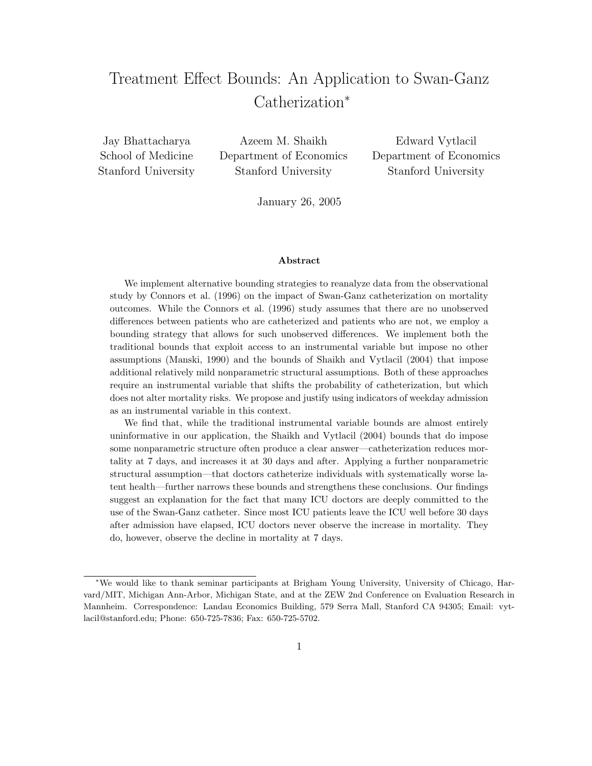# Treatment Effect Bounds: An Application to Swan-Ganz Catherization<sup>∗</sup>

Jay Bhattacharya School of Medicine Stanford University

Azeem M. Shaikh Department of Economics Stanford University

Edward Vytlacil Department of Economics Stanford University

January 26, 2005

#### Abstract

We implement alternative bounding strategies to reanalyze data from the observational study by Connors et al. (1996) on the impact of Swan-Ganz catheterization on mortality outcomes. While the Connors et al. (1996) study assumes that there are no unobserved differences between patients who are catheterized and patients who are not, we employ a bounding strategy that allows for such unobserved differences. We implement both the traditional bounds that exploit access to an instrumental variable but impose no other assumptions (Manski, 1990) and the bounds of Shaikh and Vytlacil (2004) that impose additional relatively mild nonparametric structural assumptions. Both of these approaches require an instrumental variable that shifts the probability of catheterization, but which does not alter mortality risks. We propose and justify using indicators of weekday admission as an instrumental variable in this context.

We find that, while the traditional instrumental variable bounds are almost entirely uninformative in our application, the Shaikh and Vytlacil (2004) bounds that do impose some nonparametric structure often produce a clear answer—catheterization reduces mortality at 7 days, and increases it at 30 days and after. Applying a further nonparametric structural assumption—that doctors catheterize individuals with systematically worse latent health—further narrows these bounds and strengthens these conclusions. Our findings suggest an explanation for the fact that many ICU doctors are deeply committed to the use of the Swan-Ganz catheter. Since most ICU patients leave the ICU well before 30 days after admission have elapsed, ICU doctors never observe the increase in mortality. They do, however, observe the decline in mortality at 7 days.

<sup>∗</sup>We would like to thank seminar participants at Brigham Young University, University of Chicago, Harvard/MIT, Michigan Ann-Arbor, Michigan State, and at the ZEW 2nd Conference on Evaluation Research in Mannheim. Correspondence: Landau Economics Building, 579 Serra Mall, Stanford CA 94305; Email: vytlacil@stanford.edu; Phone: 650-725-7836; Fax: 650-725-5702.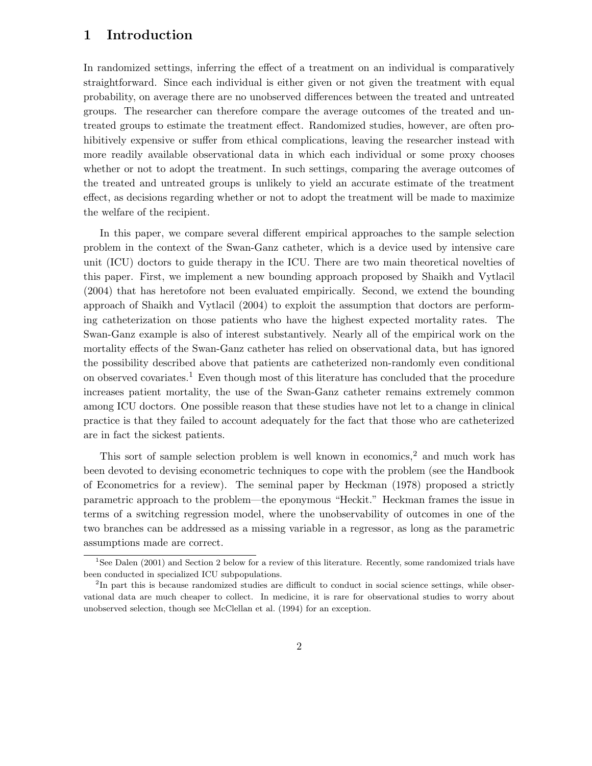## 1 Introduction

In randomized settings, inferring the effect of a treatment on an individual is comparatively straightforward. Since each individual is either given or not given the treatment with equal probability, on average there are no unobserved differences between the treated and untreated groups. The researcher can therefore compare the average outcomes of the treated and untreated groups to estimate the treatment effect. Randomized studies, however, are often prohibitively expensive or suffer from ethical complications, leaving the researcher instead with more readily available observational data in which each individual or some proxy chooses whether or not to adopt the treatment. In such settings, comparing the average outcomes of the treated and untreated groups is unlikely to yield an accurate estimate of the treatment effect, as decisions regarding whether or not to adopt the treatment will be made to maximize the welfare of the recipient.

In this paper, we compare several different empirical approaches to the sample selection problem in the context of the Swan-Ganz catheter, which is a device used by intensive care unit (ICU) doctors to guide therapy in the ICU. There are two main theoretical novelties of this paper. First, we implement a new bounding approach proposed by Shaikh and Vytlacil (2004) that has heretofore not been evaluated empirically. Second, we extend the bounding approach of Shaikh and Vytlacil (2004) to exploit the assumption that doctors are performing catheterization on those patients who have the highest expected mortality rates. The Swan-Ganz example is also of interest substantively. Nearly all of the empirical work on the mortality effects of the Swan-Ganz catheter has relied on observational data, but has ignored the possibility described above that patients are catheterized non-randomly even conditional on observed covariates.<sup>1</sup> Even though most of this literature has concluded that the procedure increases patient mortality, the use of the Swan-Ganz catheter remains extremely common among ICU doctors. One possible reason that these studies have not let to a change in clinical practice is that they failed to account adequately for the fact that those who are catheterized are in fact the sickest patients.

This sort of sample selection problem is well known in economics,<sup>2</sup> and much work has been devoted to devising econometric techniques to cope with the problem (see the Handbook of Econometrics for a review). The seminal paper by Heckman (1978) proposed a strictly parametric approach to the problem—the eponymous "Heckit." Heckman frames the issue in terms of a switching regression model, where the unobservability of outcomes in one of the two branches can be addressed as a missing variable in a regressor, as long as the parametric assumptions made are correct.

<sup>&</sup>lt;sup>1</sup>See Dalen (2001) and Section 2 below for a review of this literature. Recently, some randomized trials have been conducted in specialized ICU subpopulations.

<sup>&</sup>lt;sup>2</sup>In part this is because randomized studies are difficult to conduct in social science settings, while observational data are much cheaper to collect. In medicine, it is rare for observational studies to worry about unobserved selection, though see McClellan et al. (1994) for an exception.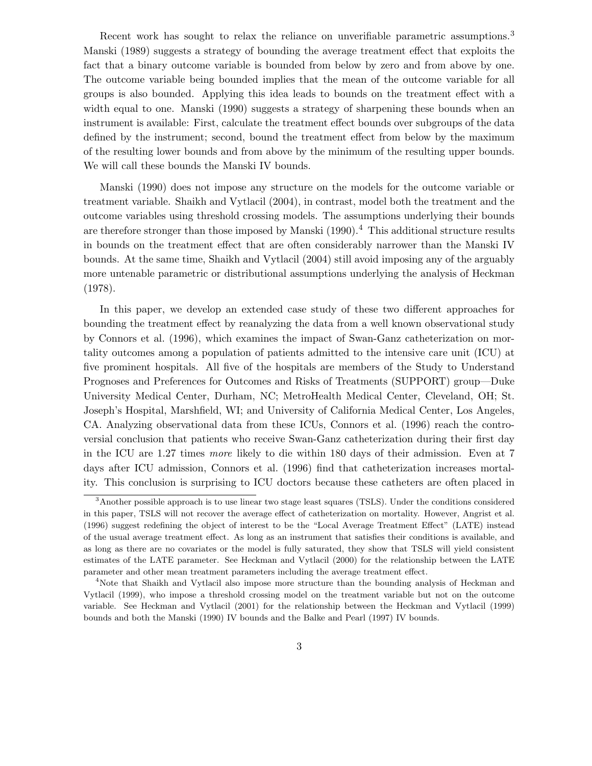Recent work has sought to relax the reliance on unverifiable parametric assumptions.<sup>3</sup> Manski (1989) suggests a strategy of bounding the average treatment effect that exploits the fact that a binary outcome variable is bounded from below by zero and from above by one. The outcome variable being bounded implies that the mean of the outcome variable for all groups is also bounded. Applying this idea leads to bounds on the treatment effect with a width equal to one. Manski (1990) suggests a strategy of sharpening these bounds when an instrument is available: First, calculate the treatment effect bounds over subgroups of the data defined by the instrument; second, bound the treatment effect from below by the maximum of the resulting lower bounds and from above by the minimum of the resulting upper bounds. We will call these bounds the Manski IV bounds.

Manski (1990) does not impose any structure on the models for the outcome variable or treatment variable. Shaikh and Vytlacil (2004), in contrast, model both the treatment and the outcome variables using threshold crossing models. The assumptions underlying their bounds are therefore stronger than those imposed by Manski (1990).<sup>4</sup> This additional structure results in bounds on the treatment effect that are often considerably narrower than the Manski IV bounds. At the same time, Shaikh and Vytlacil (2004) still avoid imposing any of the arguably more untenable parametric or distributional assumptions underlying the analysis of Heckman (1978).

In this paper, we develop an extended case study of these two different approaches for bounding the treatment effect by reanalyzing the data from a well known observational study by Connors et al. (1996), which examines the impact of Swan-Ganz catheterization on mortality outcomes among a population of patients admitted to the intensive care unit (ICU) at five prominent hospitals. All five of the hospitals are members of the Study to Understand Prognoses and Preferences for Outcomes and Risks of Treatments (SUPPORT) group—Duke University Medical Center, Durham, NC; MetroHealth Medical Center, Cleveland, OH; St. Joseph's Hospital, Marshfield, WI; and University of California Medical Center, Los Angeles, CA. Analyzing observational data from these ICUs, Connors et al. (1996) reach the controversial conclusion that patients who receive Swan-Ganz catheterization during their first day in the ICU are 1.27 times more likely to die within 180 days of their admission. Even at 7 days after ICU admission, Connors et al. (1996) find that catheterization increases mortality. This conclusion is surprising to ICU doctors because these catheters are often placed in

<sup>3</sup>Another possible approach is to use linear two stage least squares (TSLS). Under the conditions considered in this paper, TSLS will not recover the average effect of catheterization on mortality. However, Angrist et al. (1996) suggest redefining the object of interest to be the "Local Average Treatment Effect" (LATE) instead of the usual average treatment effect. As long as an instrument that satisfies their conditions is available, and as long as there are no covariates or the model is fully saturated, they show that TSLS will yield consistent estimates of the LATE parameter. See Heckman and Vytlacil (2000) for the relationship between the LATE parameter and other mean treatment parameters including the average treatment effect.

<sup>4</sup>Note that Shaikh and Vytlacil also impose more structure than the bounding analysis of Heckman and Vytlacil (1999), who impose a threshold crossing model on the treatment variable but not on the outcome variable. See Heckman and Vytlacil (2001) for the relationship between the Heckman and Vytlacil (1999) bounds and both the Manski (1990) IV bounds and the Balke and Pearl (1997) IV bounds.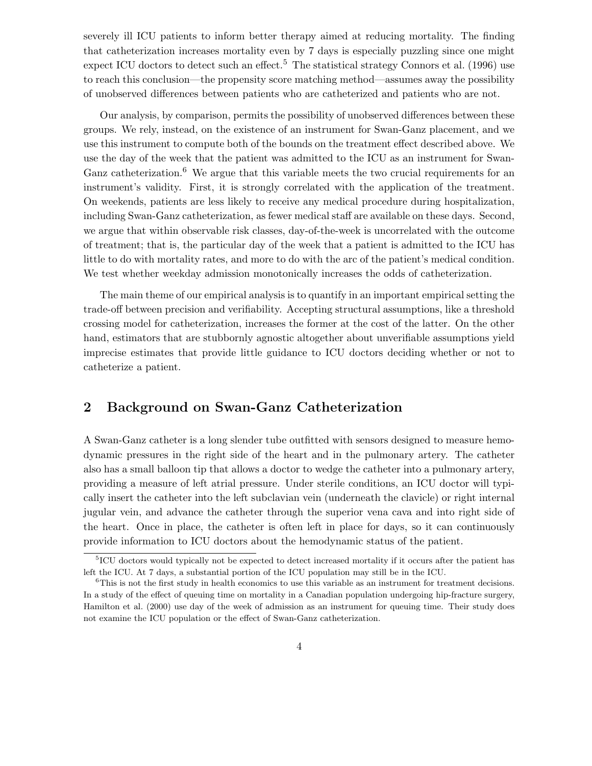severely ill ICU patients to inform better therapy aimed at reducing mortality. The finding that catheterization increases mortality even by 7 days is especially puzzling since one might expect ICU doctors to detect such an effect.<sup>5</sup> The statistical strategy Connors et al. (1996) use to reach this conclusion—the propensity score matching method—assumes away the possibility of unobserved differences between patients who are catheterized and patients who are not.

Our analysis, by comparison, permits the possibility of unobserved differences between these groups. We rely, instead, on the existence of an instrument for Swan-Ganz placement, and we use this instrument to compute both of the bounds on the treatment effect described above. We use the day of the week that the patient was admitted to the ICU as an instrument for Swan-Ganz catheterization.<sup>6</sup> We argue that this variable meets the two crucial requirements for an instrument's validity. First, it is strongly correlated with the application of the treatment. On weekends, patients are less likely to receive any medical procedure during hospitalization, including Swan-Ganz catheterization, as fewer medical staff are available on these days. Second, we argue that within observable risk classes, day-of-the-week is uncorrelated with the outcome of treatment; that is, the particular day of the week that a patient is admitted to the ICU has little to do with mortality rates, and more to do with the arc of the patient's medical condition. We test whether weekday admission monotonically increases the odds of catheterization.

The main theme of our empirical analysis is to quantify in an important empirical setting the trade-off between precision and verifiability. Accepting structural assumptions, like a threshold crossing model for catheterization, increases the former at the cost of the latter. On the other hand, estimators that are stubbornly agnostic altogether about unverifiable assumptions yield imprecise estimates that provide little guidance to ICU doctors deciding whether or not to catheterize a patient.

## 2 Background on Swan-Ganz Catheterization

A Swan-Ganz catheter is a long slender tube outfitted with sensors designed to measure hemodynamic pressures in the right side of the heart and in the pulmonary artery. The catheter also has a small balloon tip that allows a doctor to wedge the catheter into a pulmonary artery, providing a measure of left atrial pressure. Under sterile conditions, an ICU doctor will typically insert the catheter into the left subclavian vein (underneath the clavicle) or right internal jugular vein, and advance the catheter through the superior vena cava and into right side of the heart. Once in place, the catheter is often left in place for days, so it can continuously provide information to ICU doctors about the hemodynamic status of the patient.

<sup>&</sup>lt;sup>5</sup>ICU doctors would typically not be expected to detect increased mortality if it occurs after the patient has left the ICU. At 7 days, a substantial portion of the ICU population may still be in the ICU.

<sup>&</sup>lt;sup>6</sup>This is not the first study in health economics to use this variable as an instrument for treatment decisions. In a study of the effect of queuing time on mortality in a Canadian population undergoing hip-fracture surgery, Hamilton et al. (2000) use day of the week of admission as an instrument for queuing time. Their study does not examine the ICU population or the effect of Swan-Ganz catheterization.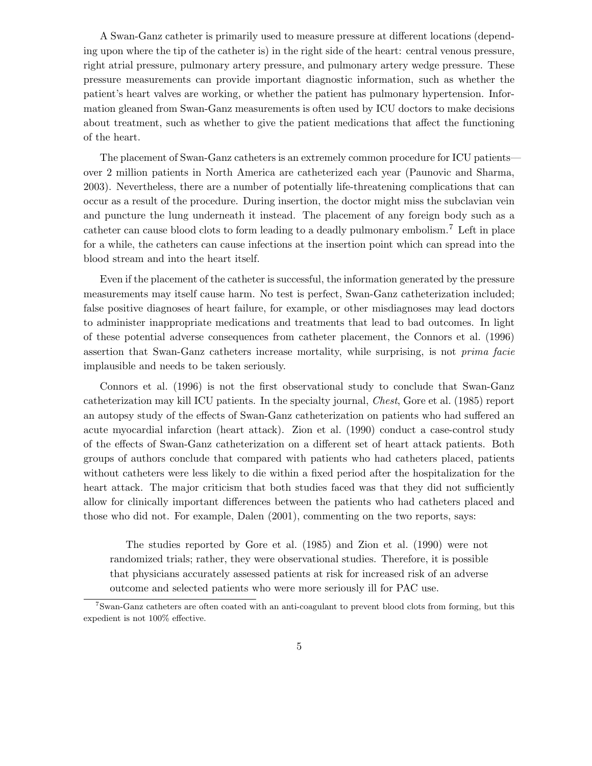A Swan-Ganz catheter is primarily used to measure pressure at different locations (depending upon where the tip of the catheter is) in the right side of the heart: central venous pressure, right atrial pressure, pulmonary artery pressure, and pulmonary artery wedge pressure. These pressure measurements can provide important diagnostic information, such as whether the patient's heart valves are working, or whether the patient has pulmonary hypertension. Information gleaned from Swan-Ganz measurements is often used by ICU doctors to make decisions about treatment, such as whether to give the patient medications that affect the functioning of the heart.

The placement of Swan-Ganz catheters is an extremely common procedure for ICU patients over 2 million patients in North America are catheterized each year (Paunovic and Sharma, 2003). Nevertheless, there are a number of potentially life-threatening complications that can occur as a result of the procedure. During insertion, the doctor might miss the subclavian vein and puncture the lung underneath it instead. The placement of any foreign body such as a catheter can cause blood clots to form leading to a deadly pulmonary embolism.<sup>7</sup> Left in place for a while, the catheters can cause infections at the insertion point which can spread into the blood stream and into the heart itself.

Even if the placement of the catheter is successful, the information generated by the pressure measurements may itself cause harm. No test is perfect, Swan-Ganz catheterization included; false positive diagnoses of heart failure, for example, or other misdiagnoses may lead doctors to administer inappropriate medications and treatments that lead to bad outcomes. In light of these potential adverse consequences from catheter placement, the Connors et al. (1996) assertion that Swan-Ganz catheters increase mortality, while surprising, is not prima facie implausible and needs to be taken seriously.

Connors et al. (1996) is not the first observational study to conclude that Swan-Ganz catheterization may kill ICU patients. In the specialty journal, Chest, Gore et al. (1985) report an autopsy study of the effects of Swan-Ganz catheterization on patients who had suffered an acute myocardial infarction (heart attack). Zion et al. (1990) conduct a case-control study of the effects of Swan-Ganz catheterization on a different set of heart attack patients. Both groups of authors conclude that compared with patients who had catheters placed, patients without catheters were less likely to die within a fixed period after the hospitalization for the heart attack. The major criticism that both studies faced was that they did not sufficiently allow for clinically important differences between the patients who had catheters placed and those who did not. For example, Dalen (2001), commenting on the two reports, says:

The studies reported by Gore et al. (1985) and Zion et al. (1990) were not randomized trials; rather, they were observational studies. Therefore, it is possible that physicians accurately assessed patients at risk for increased risk of an adverse outcome and selected patients who were more seriously ill for PAC use.

<sup>7</sup>Swan-Ganz catheters are often coated with an anti-coagulant to prevent blood clots from forming, but this expedient is not 100% effective.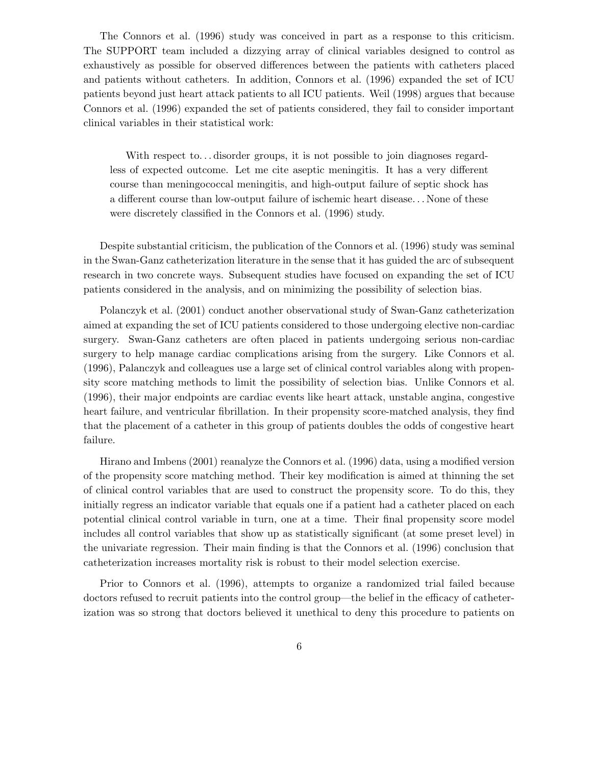The Connors et al. (1996) study was conceived in part as a response to this criticism. The SUPPORT team included a dizzying array of clinical variables designed to control as exhaustively as possible for observed differences between the patients with catheters placed and patients without catheters. In addition, Connors et al. (1996) expanded the set of ICU patients beyond just heart attack patients to all ICU patients. Weil (1998) argues that because Connors et al. (1996) expanded the set of patients considered, they fail to consider important clinical variables in their statistical work:

With respect to... disorder groups, it is not possible to join diagnoses regardless of expected outcome. Let me cite aseptic meningitis. It has a very different course than meningococcal meningitis, and high-output failure of septic shock has a different course than low-output failure of ischemic heart disease. . . None of these were discretely classified in the Connors et al. (1996) study.

Despite substantial criticism, the publication of the Connors et al. (1996) study was seminal in the Swan-Ganz catheterization literature in the sense that it has guided the arc of subsequent research in two concrete ways. Subsequent studies have focused on expanding the set of ICU patients considered in the analysis, and on minimizing the possibility of selection bias.

Polanczyk et al. (2001) conduct another observational study of Swan-Ganz catheterization aimed at expanding the set of ICU patients considered to those undergoing elective non-cardiac surgery. Swan-Ganz catheters are often placed in patients undergoing serious non-cardiac surgery to help manage cardiac complications arising from the surgery. Like Connors et al. (1996), Palanczyk and colleagues use a large set of clinical control variables along with propensity score matching methods to limit the possibility of selection bias. Unlike Connors et al. (1996), their major endpoints are cardiac events like heart attack, unstable angina, congestive heart failure, and ventricular fibrillation. In their propensity score-matched analysis, they find that the placement of a catheter in this group of patients doubles the odds of congestive heart failure.

Hirano and Imbens (2001) reanalyze the Connors et al. (1996) data, using a modified version of the propensity score matching method. Their key modification is aimed at thinning the set of clinical control variables that are used to construct the propensity score. To do this, they initially regress an indicator variable that equals one if a patient had a catheter placed on each potential clinical control variable in turn, one at a time. Their final propensity score model includes all control variables that show up as statistically significant (at some preset level) in the univariate regression. Their main finding is that the Connors et al. (1996) conclusion that catheterization increases mortality risk is robust to their model selection exercise.

Prior to Connors et al. (1996), attempts to organize a randomized trial failed because doctors refused to recruit patients into the control group—the belief in the efficacy of catheterization was so strong that doctors believed it unethical to deny this procedure to patients on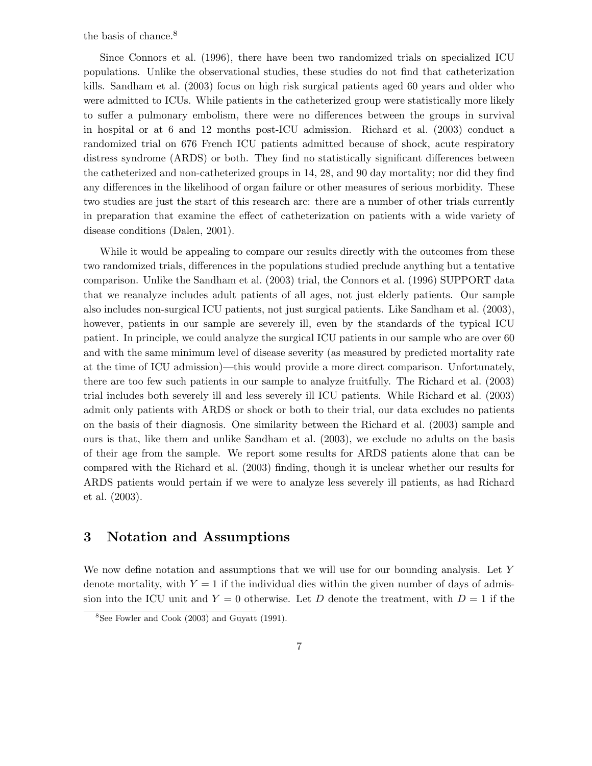the basis of chance.<sup>8</sup>

Since Connors et al. (1996), there have been two randomized trials on specialized ICU populations. Unlike the observational studies, these studies do not find that catheterization kills. Sandham et al. (2003) focus on high risk surgical patients aged 60 years and older who were admitted to ICUs. While patients in the catheterized group were statistically more likely to suffer a pulmonary embolism, there were no differences between the groups in survival in hospital or at 6 and 12 months post-ICU admission. Richard et al. (2003) conduct a randomized trial on 676 French ICU patients admitted because of shock, acute respiratory distress syndrome (ARDS) or both. They find no statistically significant differences between the catheterized and non-catheterized groups in 14, 28, and 90 day mortality; nor did they find any differences in the likelihood of organ failure or other measures of serious morbidity. These two studies are just the start of this research arc: there are a number of other trials currently in preparation that examine the effect of catheterization on patients with a wide variety of disease conditions (Dalen, 2001).

While it would be appealing to compare our results directly with the outcomes from these two randomized trials, differences in the populations studied preclude anything but a tentative comparison. Unlike the Sandham et al. (2003) trial, the Connors et al. (1996) SUPPORT data that we reanalyze includes adult patients of all ages, not just elderly patients. Our sample also includes non-surgical ICU patients, not just surgical patients. Like Sandham et al. (2003), however, patients in our sample are severely ill, even by the standards of the typical ICU patient. In principle, we could analyze the surgical ICU patients in our sample who are over 60 and with the same minimum level of disease severity (as measured by predicted mortality rate at the time of ICU admission)—this would provide a more direct comparison. Unfortunately, there are too few such patients in our sample to analyze fruitfully. The Richard et al. (2003) trial includes both severely ill and less severely ill ICU patients. While Richard et al. (2003) admit only patients with ARDS or shock or both to their trial, our data excludes no patients on the basis of their diagnosis. One similarity between the Richard et al. (2003) sample and ours is that, like them and unlike Sandham et al. (2003), we exclude no adults on the basis of their age from the sample. We report some results for ARDS patients alone that can be compared with the Richard et al. (2003) finding, though it is unclear whether our results for ARDS patients would pertain if we were to analyze less severely ill patients, as had Richard et al. (2003).

## 3 Notation and Assumptions

We now define notation and assumptions that we will use for our bounding analysis. Let Y denote mortality, with  $Y = 1$  if the individual dies within the given number of days of admission into the ICU unit and  $Y = 0$  otherwise. Let D denote the treatment, with  $D = 1$  if the

<sup>8</sup>See Fowler and Cook (2003) and Guyatt (1991).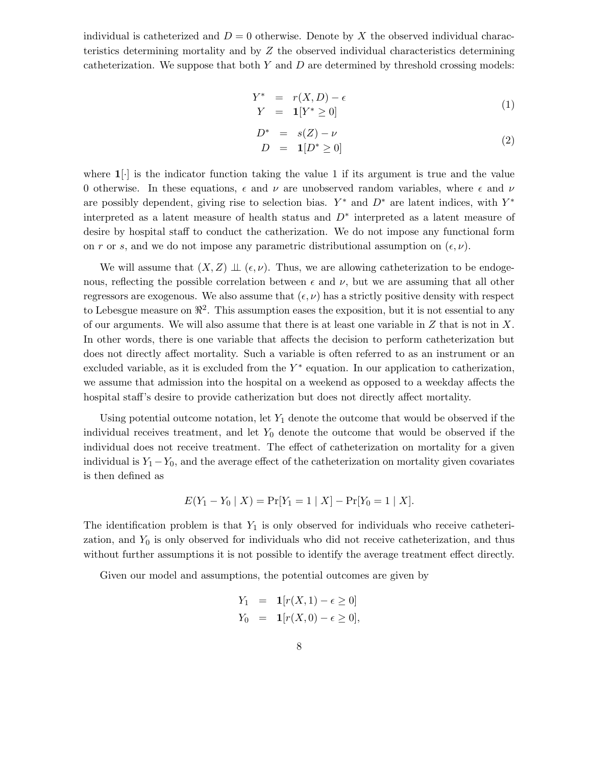individual is catheterized and  $D = 0$  otherwise. Denote by X the observed individual characteristics determining mortality and by Z the observed individual characteristics determining catheterization. We suppose that both  $Y$  and  $D$  are determined by threshold crossing models:

$$
Y^* = r(X, D) - \epsilon
$$
  
\n
$$
Y = \mathbf{1}[Y^* \ge 0]
$$
\n(1)

$$
D^* = s(Z) - \nu
$$
  
\n
$$
D = \mathbf{1}[D^* \ge 0]
$$
\n(2)

where  $1[\cdot]$  is the indicator function taking the value 1 if its argument is true and the value 0 otherwise. In these equations,  $\epsilon$  and  $\nu$  are unobserved random variables, where  $\epsilon$  and  $\nu$ are possibly dependent, giving rise to selection bias.  $Y^*$  and  $D^*$  are latent indices, with  $Y^*$ interpreted as a latent measure of health status and  $D^*$  interpreted as a latent measure of desire by hospital staff to conduct the catherization. We do not impose any functional form on r or s, and we do not impose any parametric distributional assumption on  $(\epsilon, \nu)$ .

We will assume that  $(X, Z) \perp\!\!\!\perp (\epsilon, \nu)$ . Thus, we are allowing catheterization to be endogenous, reflecting the possible correlation between  $\epsilon$  and  $\nu$ , but we are assuming that all other regressors are exogenous. We also assume that  $(\epsilon, \nu)$  has a strictly positive density with respect to Lebesgue measure on  $\mathbb{R}^2$ . This assumption eases the exposition, but it is not essential to any of our arguments. We will also assume that there is at least one variable in  $Z$  that is not in  $X$ . In other words, there is one variable that affects the decision to perform catheterization but does not directly affect mortality. Such a variable is often referred to as an instrument or an excluded variable, as it is excluded from the  $Y^*$  equation. In our application to catherization, we assume that admission into the hospital on a weekend as opposed to a weekday affects the hospital staff's desire to provide catherization but does not directly affect mortality.

Using potential outcome notation, let  $Y_1$  denote the outcome that would be observed if the individual receives treatment, and let  $Y_0$  denote the outcome that would be observed if the individual does not receive treatment. The effect of catheterization on mortality for a given individual is  $Y_1 - Y_0$ , and the average effect of the catheterization on mortality given covariates is then defined as

$$
E(Y_1 - Y_0 | X) = Pr[Y_1 = 1 | X] - Pr[Y_0 = 1 | X].
$$

The identification problem is that  $Y_1$  is only observed for individuals who receive catheterization, and  $Y_0$  is only observed for individuals who did not receive catheterization, and thus without further assumptions it is not possible to identify the average treatment effect directly.

Given our model and assumptions, the potential outcomes are given by

$$
Y_1 = \mathbf{1}[r(X,1) - \epsilon \ge 0] Y_0 = \mathbf{1}[r(X,0) - \epsilon \ge 0],
$$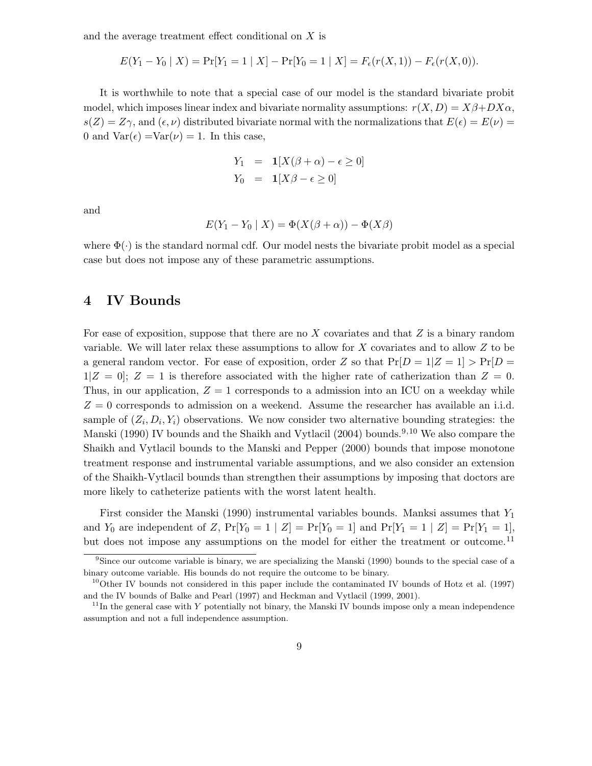and the average treatment effect conditional on X is

$$
E(Y_1 - Y_0 | X) = Pr[Y_1 = 1 | X] - Pr[Y_0 = 1 | X] = F_{\epsilon}(r(X, 1)) - F_{\epsilon}(r(X, 0)).
$$

It is worthwhile to note that a special case of our model is the standard bivariate probit model, which imposes linear index and bivariate normality assumptions:  $r(X, D) = X\beta + DX\alpha$ ,  $s(Z) = Z\gamma$ , and  $(\epsilon, \nu)$  distributed bivariate normal with the normalizations that  $E(\epsilon) = E(\nu)$ 0 and  $Var(\epsilon) = Var(\nu) = 1$ . In this case,

$$
Y_1 = \mathbf{1}[X(\beta + \alpha) - \epsilon \ge 0]
$$
  

$$
Y_0 = \mathbf{1}[X\beta - \epsilon \ge 0]
$$

and

$$
E(Y_1 - Y_0 | X) = \Phi(X(\beta + \alpha)) - \Phi(X\beta)
$$

where  $\Phi(\cdot)$  is the standard normal cdf. Our model nests the bivariate probit model as a special case but does not impose any of these parametric assumptions.

## 4 IV Bounds

For ease of exposition, suppose that there are no  $X$  covariates and that  $Z$  is a binary random variable. We will later relax these assumptions to allow for X covariates and to allow Z to be a general random vector. For ease of exposition, order Z so that  $Pr[D = 1|Z = 1] > Pr[D =$  $1|Z = 0$ ;  $Z = 1$  is therefore associated with the higher rate of catherization than  $Z = 0$ . Thus, in our application,  $Z = 1$  corresponds to a admission into an ICU on a weekday while  $Z = 0$  corresponds to admission on a weekend. Assume the researcher has available an i.i.d. sample of  $(Z_i, D_i, Y_i)$  observations. We now consider two alternative bounding strategies: the Manski (1990) IV bounds and the Shaikh and Vytlacil (2004) bounds.<sup>9,10</sup> We also compare the Shaikh and Vytlacil bounds to the Manski and Pepper (2000) bounds that impose monotone treatment response and instrumental variable assumptions, and we also consider an extension of the Shaikh-Vytlacil bounds than strengthen their assumptions by imposing that doctors are more likely to catheterize patients with the worst latent health.

First consider the Manski (1990) instrumental variables bounds. Manksi assumes that  $Y_1$ and  $Y_0$  are independent of Z,  $Pr[Y_0 = 1 | Z] = Pr[Y_0 = 1]$  and  $Pr[Y_1 = 1 | Z] = Pr[Y_1 = 1]$ , but does not impose any assumptions on the model for either the treatment or outcome.<sup>11</sup>

<sup>9</sup>Since our outcome variable is binary, we are specializing the Manski (1990) bounds to the special case of a binary outcome variable. His bounds do not require the outcome to be binary.

 $10^{\text{10}}$ Other IV bounds not considered in this paper include the contaminated IV bounds of Hotz et al. (1997) and the IV bounds of Balke and Pearl (1997) and Heckman and Vytlacil (1999, 2001).

 $11$ In the general case with Y potentially not binary, the Manski IV bounds impose only a mean independence assumption and not a full independence assumption.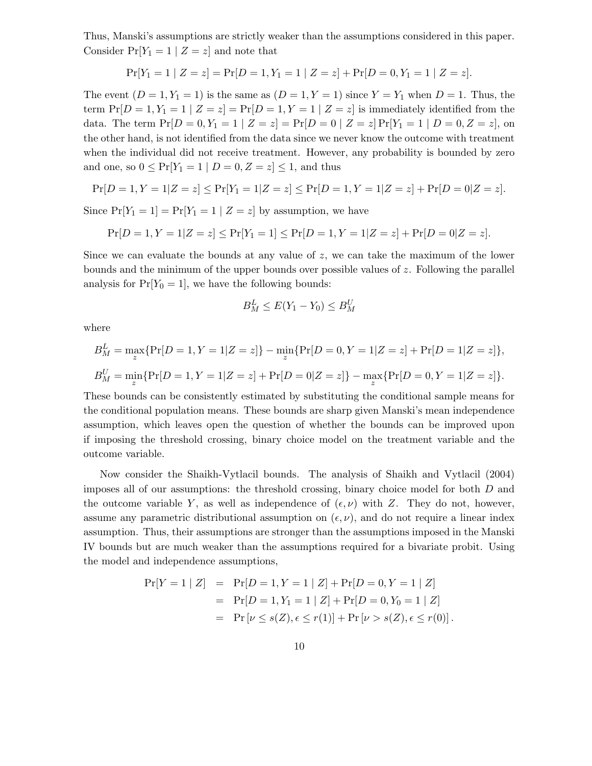Thus, Manski's assumptions are strictly weaker than the assumptions considered in this paper. Consider  $Pr[Y_1 = 1 | Z = z]$  and note that

$$
Pr[Y_1 = 1 | Z = z] = Pr[D = 1, Y_1 = 1 | Z = z] + Pr[D = 0, Y_1 = 1 | Z = z].
$$

The event  $(D = 1, Y_1 = 1)$  is the same as  $(D = 1, Y = 1)$  since  $Y = Y_1$  when  $D = 1$ . Thus, the term  $Pr[D = 1, Y_1 = 1 | Z = z] = Pr[D = 1, Y = 1 | Z = z]$  is immediately identified from the data. The term  $Pr[D = 0, Y_1 = 1 | Z = z] = Pr[D = 0 | Z = z] Pr[Y_1 = 1 | D = 0, Z = z]$ , on the other hand, is not identified from the data since we never know the outcome with treatment when the individual did not receive treatment. However, any probability is bounded by zero and one, so  $0 \leq Pr[Y_1 = 1 | D = 0, Z = z] \leq 1$ , and thus

$$
\Pr[D=1, Y=1|Z=z] \le \Pr[Y_1=1|Z=z] \le \Pr[D=1, Y=1|Z=z] + \Pr[D=0|Z=z].
$$

Since  $Pr[Y_1 = 1] = Pr[Y_1 = 1 | Z = z]$  by assumption, we have

$$
\Pr[D=1, Y=1 | Z=z] \le \Pr[Y_1=1] \le \Pr[D=1, Y=1 | Z=z] + \Pr[D=0 | Z=z].
$$

Since we can evaluate the bounds at any value of z, we can take the maximum of the lower bounds and the minimum of the upper bounds over possible values of  $z$ . Following the parallel analysis for  $Pr[Y_0 = 1]$ , we have the following bounds:

$$
B_M^L \le E(Y_1 - Y_0) \le B_M^U
$$

where

$$
B_M^L = \max_z \{ \Pr[D=1, Y=1|Z=z] \} - \min_z \{ \Pr[D=0, Y=1|Z=z] + \Pr[D=1|Z=z] \},
$$
  
\n
$$
B_M^U = \min_z \{ \Pr[D=1, Y=1|Z=z] + \Pr[D=0|Z=z] \} - \max_z \{ \Pr[D=0, Y=1|Z=z] \}.
$$

These bounds can be consistently estimated by substituting the conditional sample means for the conditional population means. These bounds are sharp given Manski's mean independence assumption, which leaves open the question of whether the bounds can be improved upon if imposing the threshold crossing, binary choice model on the treatment variable and the outcome variable.

Now consider the Shaikh-Vytlacil bounds. The analysis of Shaikh and Vytlacil (2004) imposes all of our assumptions: the threshold crossing, binary choice model for both D and the outcome variable Y, as well as independence of  $(\epsilon, \nu)$  with Z. They do not, however, assume any parametric distributional assumption on  $(\epsilon, \nu)$ , and do not require a linear index assumption. Thus, their assumptions are stronger than the assumptions imposed in the Manski IV bounds but are much weaker than the assumptions required for a bivariate probit. Using the model and independence assumptions,

$$
Pr[Y = 1 | Z] = Pr[D = 1, Y = 1 | Z] + Pr[D = 0, Y = 1 | Z]
$$
  
= 
$$
Pr[D = 1, Y_1 = 1 | Z] + Pr[D = 0, Y_0 = 1 | Z]
$$
  
= 
$$
Pr[\nu \le s(Z), \epsilon \le r(1)] + Pr[\nu > s(Z), \epsilon \le r(0)].
$$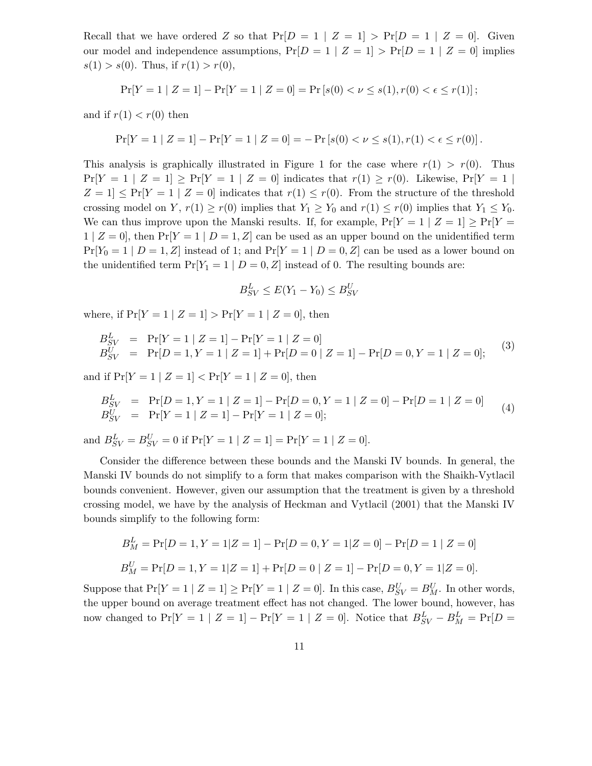Recall that we have ordered Z so that  $Pr[D = 1 | Z = 1] > Pr[D = 1 | Z = 0]$ . Given our model and independence assumptions,  $Pr[D = 1 | Z = 1] > Pr[D = 1 | Z = 0]$  implies  $s(1) > s(0)$ . Thus, if  $r(1) > r(0)$ ,

$$
\Pr[Y=1 \mid Z=1] - \Pr[Y=1 \mid Z=0] = \Pr\left[s(0) < \nu \le s(1), r(0) < \epsilon \le r(1)\right];
$$

and if  $r(1) < r(0)$  then

$$
\Pr[Y=1 | Z=1] - \Pr[Y=1 | Z=0] = -\Pr[s(0) < \nu \le s(1), r(1) < \epsilon \le r(0)].
$$

This analysis is graphically illustrated in Figure 1 for the case where  $r(1) > r(0)$ . Thus  $Pr[Y = 1 | Z = 1] \geq Pr[Y = 1 | Z = 0]$  indicates that  $r(1) \geq r(0)$ . Likewise,  $Pr[Y = 1$  $Z = 1$   $\leq$  Pr[Y = 1 | Z = 0] indicates that  $r(1) \leq r(0)$ . From the structure of the threshold crossing model on Y,  $r(1) \ge r(0)$  implies that  $Y_1 \ge Y_0$  and  $r(1) \le r(0)$  implies that  $Y_1 \le Y_0$ . We can thus improve upon the Manski results. If, for example,  $Pr[Y = 1 | Z = 1] \geq Pr[Y = 1]$  $1 | Z = 0$ , then  $Pr[Y = 1 | D = 1, Z]$  can be used as an upper bound on the unidentified term  $Pr[Y_0 = 1 | D = 1, Z]$  instead of 1; and  $Pr[Y = 1 | D = 0, Z]$  can be used as a lower bound on the unidentified term  $Pr[Y_1 = 1 | D = 0, Z]$  instead of 0. The resulting bounds are:

$$
B_{SV}^L \le E(Y_1 - Y_0) \le B_{SV}^U
$$

where, if  $Pr[Y = 1 | Z = 1] > Pr[Y = 1 | Z = 0]$ , then

$$
B_{SV}^L = \Pr[Y=1 \mid Z=1] - \Pr[Y=1 \mid Z=0] B_{SV}^U = \Pr[D=1, Y=1 \mid Z=1] + \Pr[D=0 \mid Z=1] - \Pr[D=0, Y=1 \mid Z=0];
$$
(3)

and if  $Pr[Y = 1 | Z = 1] < Pr[Y = 1 | Z = 0]$ , then

$$
B_{SV}^L = \Pr[D=1, Y=1 | Z=1] - \Pr[D=0, Y=1 | Z=0] - \Pr[D=1 | Z=0] B_{SV}^U = \Pr[Y=1 | Z=1] - \Pr[Y=1 | Z=0];
$$
\n(4)

and  $B_{SV}^L = B_{SV}^U = 0$  if  $Pr[Y = 1 | Z = 1] = Pr[Y = 1 | Z = 0].$ 

Consider the difference between these bounds and the Manski IV bounds. In general, the Manski IV bounds do not simplify to a form that makes comparison with the Shaikh-Vytlacil bounds convenient. However, given our assumption that the treatment is given by a threshold crossing model, we have by the analysis of Heckman and Vytlacil (2001) that the Manski IV bounds simplify to the following form:

$$
B_M^L = \Pr[D = 1, Y = 1 | Z = 1] - \Pr[D = 0, Y = 1 | Z = 0] - \Pr[D = 1 | Z = 0]
$$
  

$$
B_M^U = \Pr[D = 1, Y = 1 | Z = 1] + \Pr[D = 0 | Z = 1] - \Pr[D = 0, Y = 1 | Z = 0].
$$

Suppose that  $Pr[Y = 1 | Z = 1] \ge Pr[Y = 1 | Z = 0]$ . In this case,  $B_{SV}^U = B_M^U$ . In other words, the upper bound on average treatment effect has not changed. The lower bound, however, has now changed to  $Pr[Y = 1 | Z = 1] - Pr[Y = 1 | Z = 0]$ . Notice that  $B_{SV}^L - B_M^L = Pr[D = 1]$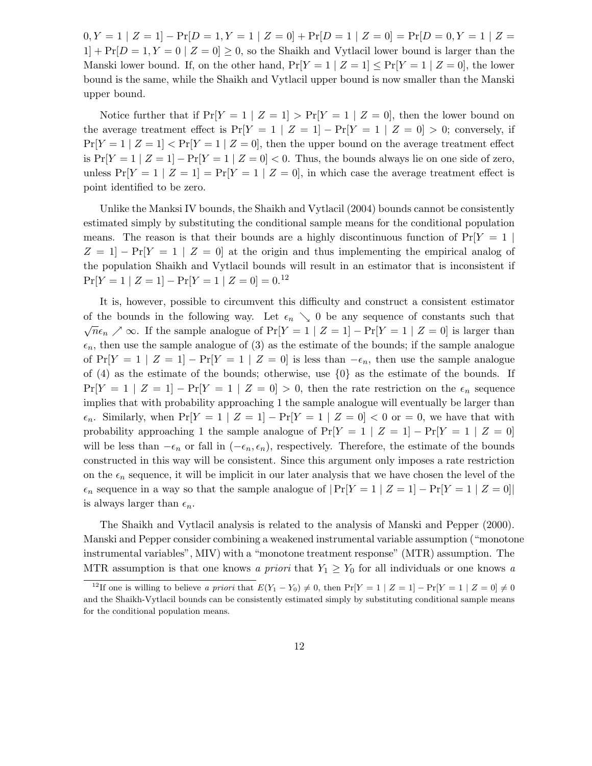$0, Y = 1 | Z = 1] - Pr[D = 1, Y = 1 | Z = 0] + Pr[D = 1 | Z = 0] = Pr[D = 0, Y = 1 | Z = 0]$  $1$  +  $Pr[D = 1, Y = 0 \mid Z = 0] \geq 0$ , so the Shaikh and Vytlacil lower bound is larger than the Manski lower bound. If, on the other hand,  $Pr[Y = 1 | Z = 1] \le Pr[Y = 1 | Z = 0]$ , the lower bound is the same, while the Shaikh and Vytlacil upper bound is now smaller than the Manski upper bound.

Notice further that if  $Pr[Y = 1 | Z = 1] > Pr[Y = 1 | Z = 0]$ , then the lower bound on the average treatment effect is  $Pr[Y = 1 | Z = 1] - Pr[Y = 1 | Z = 0] > 0$ ; conversely, if  $Pr[Y = 1 | Z = 1] < Pr[Y = 1 | Z = 0]$ , then the upper bound on the average treatment effect is  $Pr[Y = 1 | Z = 1] - Pr[Y = 1 | Z = 0] < 0$ . Thus, the bounds always lie on one side of zero, unless  $Pr[Y = 1 | Z = 1] = Pr[Y = 1 | Z = 0]$ , in which case the average treatment effect is point identified to be zero.

Unlike the Manksi IV bounds, the Shaikh and Vytlacil (2004) bounds cannot be consistently estimated simply by substituting the conditional sample means for the conditional population means. The reason is that their bounds are a highly discontinuous function of  $Pr[Y = 1]$  $Z = 1$  –  $Pr[Y = 1 | Z = 0]$  at the origin and thus implementing the empirical analog of the population Shaikh and Vytlacil bounds will result in an estimator that is inconsistent if  $Pr[Y = 1 | Z = 1] - Pr[Y = 1 | Z = 0] = 0.<sup>12</sup>$ 

It is, however, possible to circumvent this difficulty and construct a consistent estimator of the bounds in the following way. Let  $\epsilon_n \searrow 0$  be any sequence of constants such that  $\sqrt{n}\epsilon_n \nearrow \infty$ . If the sample analogue of Pr[Y = 1 | Z = 1] – Pr[Y = 1 | Z = 0] is larger than  $\epsilon_n$ , then use the sample analogue of (3) as the estimate of the bounds; if the sample analogue of  $Pr[Y = 1 | Z = 1] - Pr[Y = 1 | Z = 0]$  is less than  $-\epsilon_n$ , then use the sample analogue of (4) as the estimate of the bounds; otherwise, use {0} as the estimate of the bounds. If  $Pr[Y = 1 | Z = 1] - Pr[Y = 1 | Z = 0] > 0$ , then the rate restriction on the  $\epsilon_n$  sequence implies that with probability approaching 1 the sample analogue will eventually be larger than  $\epsilon_n$ . Similarly, when  $Pr[Y = 1 | Z = 1] - Pr[Y = 1 | Z = 0] < 0$  or  $= 0$ , we have that with probability approaching 1 the sample analogue of  $Pr[Y = 1 | Z = 1] - Pr[Y = 1 | Z = 0]$ will be less than  $-\epsilon_n$  or fall in  $(-\epsilon_n, \epsilon_n)$ , respectively. Therefore, the estimate of the bounds constructed in this way will be consistent. Since this argument only imposes a rate restriction on the  $\epsilon_n$  sequence, it will be implicit in our later analysis that we have chosen the level of the  $\epsilon_n$  sequence in a way so that the sample analogue of  $|\Pr[Y=1 \mid Z=1] - \Pr[Y=1 \mid Z=0]|$ is always larger than  $\epsilon_n$ .

The Shaikh and Vytlacil analysis is related to the analysis of Manski and Pepper (2000). Manski and Pepper consider combining a weakened instrumental variable assumption ("monotone instrumental variables", MIV) with a "monotone treatment response" (MTR) assumption. The MTR assumption is that one knows a priori that  $Y_1 \ge Y_0$  for all individuals or one knows a

<sup>&</sup>lt;sup>12</sup>If one is willing to believe a priori that  $E(Y_1 - Y_0) \neq 0$ , then  $Pr[Y = 1 | Z = 1] - Pr[Y = 1 | Z = 0] \neq 0$ and the Shaikh-Vytlacil bounds can be consistently estimated simply by substituting conditional sample means for the conditional population means.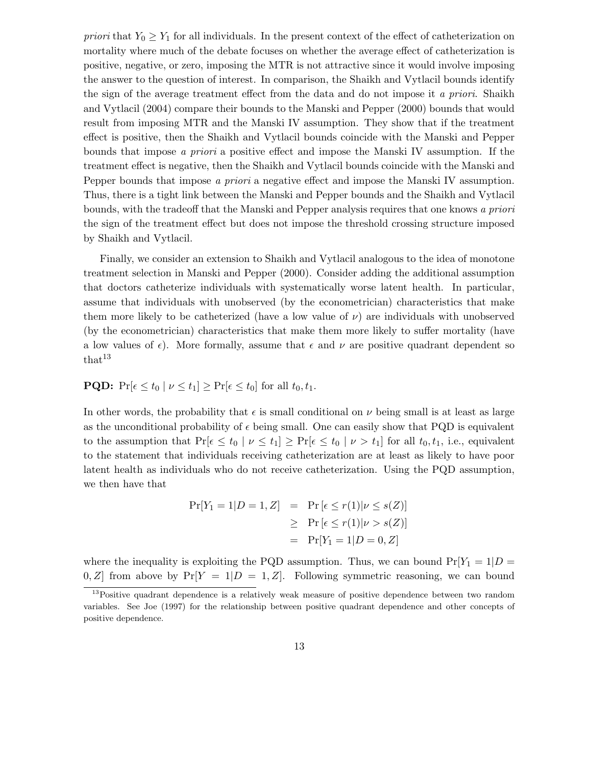priori that  $Y_0 \geq Y_1$  for all individuals. In the present context of the effect of catheterization on mortality where much of the debate focuses on whether the average effect of catheterization is positive, negative, or zero, imposing the MTR is not attractive since it would involve imposing the answer to the question of interest. In comparison, the Shaikh and Vytlacil bounds identify the sign of the average treatment effect from the data and do not impose it a priori. Shaikh and Vytlacil (2004) compare their bounds to the Manski and Pepper (2000) bounds that would result from imposing MTR and the Manski IV assumption. They show that if the treatment effect is positive, then the Shaikh and Vytlacil bounds coincide with the Manski and Pepper bounds that impose a priori a positive effect and impose the Manski IV assumption. If the treatment effect is negative, then the Shaikh and Vytlacil bounds coincide with the Manski and Pepper bounds that impose a priori a negative effect and impose the Manski IV assumption. Thus, there is a tight link between the Manski and Pepper bounds and the Shaikh and Vytlacil bounds, with the tradeoff that the Manski and Pepper analysis requires that one knows a priori the sign of the treatment effect but does not impose the threshold crossing structure imposed by Shaikh and Vytlacil.

Finally, we consider an extension to Shaikh and Vytlacil analogous to the idea of monotone treatment selection in Manski and Pepper (2000). Consider adding the additional assumption that doctors catheterize individuals with systematically worse latent health. In particular, assume that individuals with unobserved (by the econometrician) characteristics that make them more likely to be catheterized (have a low value of  $\nu$ ) are individuals with unobserved (by the econometrician) characteristics that make them more likely to suffer mortality (have a low values of  $\epsilon$ ). More formally, assume that  $\epsilon$  and  $\nu$  are positive quadrant dependent so that<sup>13</sup>

## **PQD:**  $Pr[\epsilon \le t_0 | \nu \le t_1] \ge Pr[\epsilon \le t_0]$  for all  $t_0, t_1$ .

In other words, the probability that  $\epsilon$  is small conditional on  $\nu$  being small is at least as large as the unconditional probability of  $\epsilon$  being small. One can easily show that PQD is equivalent to the assumption that  $Pr[\epsilon \le t_0 \mid \nu \le t_1] \ge Pr[\epsilon \le t_0 \mid \nu > t_1]$  for all  $t_0, t_1$ , i.e., equivalent to the statement that individuals receiving catheterization are at least as likely to have poor latent health as individuals who do not receive catheterization. Using the PQD assumption, we then have that

$$
Pr[Y_1 = 1 | D = 1, Z] = Pr[\epsilon \le r(1) | \nu \le s(Z)]
$$
  
\n
$$
\ge Pr[\epsilon \le r(1) | \nu > s(Z)]
$$
  
\n
$$
= Pr[Y_1 = 1 | D = 0, Z]
$$

where the inequality is exploiting the PQD assumption. Thus, we can bound  $Pr[Y_1 = 1 | D =$ 0, Z from above by  $Pr[Y = 1|D = 1, Z]$ . Following symmetric reasoning, we can bound

<sup>&</sup>lt;sup>13</sup>Positive quadrant dependence is a relatively weak measure of positive dependence between two random variables. See Joe (1997) for the relationship between positive quadrant dependence and other concepts of positive dependence.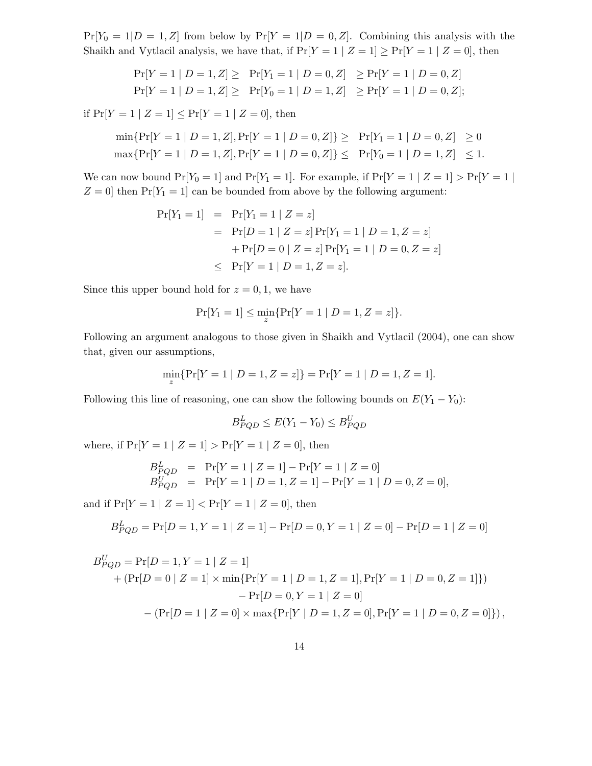$Pr[Y_0 = 1 | D = 1, Z]$  from below by  $Pr[Y = 1 | D = 0, Z]$ . Combining this analysis with the Shaikh and Vytlacil analysis, we have that, if  $Pr[Y = 1 | Z = 1] \ge Pr[Y = 1 | Z = 0]$ , then

$$
\Pr[Y = 1 | D = 1, Z] \ge \Pr[Y_1 = 1 | D = 0, Z] \ge \Pr[Y = 1 | D = 0, Z]
$$
  

$$
\Pr[Y = 1 | D = 1, Z] \ge \Pr[Y_0 = 1 | D = 1, Z] \ge \Pr[Y = 1 | D = 0, Z];
$$

if  $Pr[Y = 1 | Z = 1] \le Pr[Y = 1 | Z = 0]$ , then

$$
\min\{\Pr[Y=1 \mid D=1, Z], \Pr[Y=1 \mid D=0, Z]\} \ge \Pr[Y_1 = 1 \mid D=0, Z] \ge 0
$$
  

$$
\max\{\Pr[Y=1 \mid D=1, Z], \Pr[Y=1 \mid D=0, Z]\} \le \Pr[Y_0 = 1 \mid D=1, Z] \le 1.
$$

We can now bound  $Pr[Y_0 = 1]$  and  $Pr[Y_1 = 1]$ . For example, if  $Pr[Y = 1 | Z = 1] > Pr[Y = 1 |$  $Z = 0$  then  $Pr[Y_1 = 1]$  can be bounded from above by the following argument:

$$
Pr[Y_1 = 1] = Pr[Y_1 = 1 | Z = z]
$$
  
= 
$$
Pr[D = 1 | Z = z] Pr[Y_1 = 1 | D = 1, Z = z]
$$
  
+ 
$$
Pr[D = 0 | Z = z] Pr[Y_1 = 1 | D = 0, Z = z]
$$
  

$$
\leq Pr[Y = 1 | D = 1, Z = z].
$$

Since this upper bound hold for  $z = 0, 1$ , we have

$$
\Pr[Y_1 = 1] \le \min_{z} \{ \Pr[Y = 1 \mid D = 1, Z = z] \}.
$$

Following an argument analogous to those given in Shaikh and Vytlacil (2004), one can show that, given our assumptions,

$$
\min_{z} \{ \Pr[Y=1 | D=1, Z=z] \} = \Pr[Y=1 | D=1, Z=1].
$$

Following this line of reasoning, one can show the following bounds on  $E(Y_1 - Y_0)$ :

$$
B_{PQD}^L \le E(Y_1 - Y_0) \le B_{PQD}^U
$$

where, if  $Pr[Y = 1 | Z = 1] > Pr[Y = 1 | Z = 0]$ , then

$$
B_{PQD}^{L} = \Pr[Y=1 | Z=1] - \Pr[Y=1 | Z=0]
$$
  
\n
$$
B_{PQD}^{U} = \Pr[Y=1 | D=1, Z=1] - \Pr[Y=1 | D=0, Z=0],
$$

and if  $Pr[Y = 1 | Z = 1] < Pr[Y = 1 | Z = 0]$ , then

$$
B_{PQD}^{L} = \Pr[D = 1, Y = 1 | Z = 1] - \Pr[D = 0, Y = 1 | Z = 0] - \Pr[D = 1 | Z = 0]
$$

$$
B_{PQD}^{U} = \Pr[D=1, Y=1 | Z=1]
$$
  
+ 
$$
(\Pr[D=0 | Z=1] \times \min{\Pr[Y=1 | D=1, Z=1], \Pr[Y=1 | D=0, Z=1]})
$$
  
- 
$$
\Pr[D=0, Y=1 | Z=0]
$$
  
- 
$$
(\Pr[D=1 | Z=0] \times \max{\Pr[Y | D=1, Z=0], \Pr[Y=1 | D=0, Z=0]})
$$
,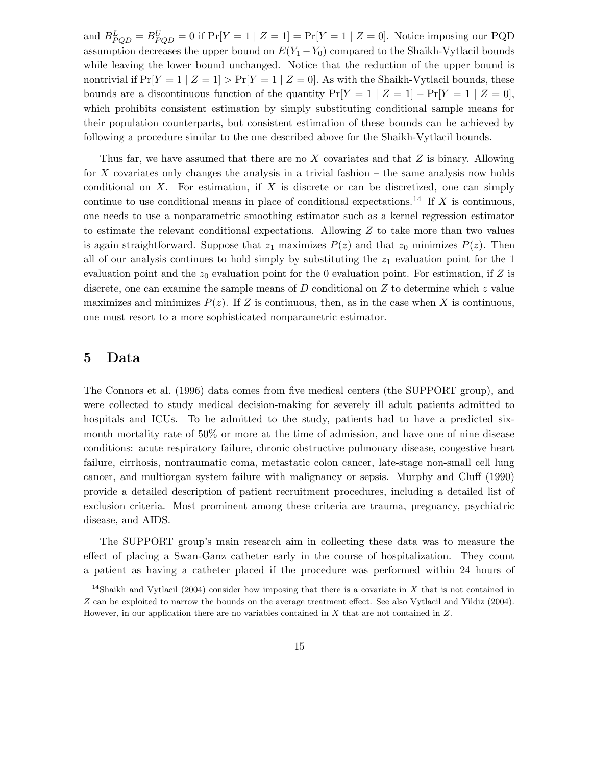and  $B_{PQD}^L = B_{PQD}^U = 0$  if  $Pr[Y = 1 | Z = 1] = Pr[Y = 1 | Z = 0]$ . Notice imposing our PQD assumption decreases the upper bound on  $E(Y_1 - Y_0)$  compared to the Shaikh-Vytlacil bounds while leaving the lower bound unchanged. Notice that the reduction of the upper bound is nontrivial if  $Pr[Y = 1 | Z = 1] > Pr[Y = 1 | Z = 0]$ . As with the Shaikh-Vytlacil bounds, these bounds are a discontinuous function of the quantity  $Pr[Y = 1 | Z = 1] - Pr[Y = 1 | Z = 0]$ , which prohibits consistent estimation by simply substituting conditional sample means for their population counterparts, but consistent estimation of these bounds can be achieved by following a procedure similar to the one described above for the Shaikh-Vytlacil bounds.

Thus far, we have assumed that there are no  $X$  covariates and that  $Z$  is binary. Allowing for X covariates only changes the analysis in a trivial fashion – the same analysis now holds conditional on  $X$ . For estimation, if  $X$  is discrete or can be discretized, one can simply continue to use conditional means in place of conditional expectations.<sup>14</sup> If X is continuous, one needs to use a nonparametric smoothing estimator such as a kernel regression estimator to estimate the relevant conditional expectations. Allowing Z to take more than two values is again straightforward. Suppose that  $z_1$  maximizes  $P(z)$  and that  $z_0$  minimizes  $P(z)$ . Then all of our analysis continues to hold simply by substituting the  $z<sub>1</sub>$  evaluation point for the 1 evaluation point and the  $z_0$  evaluation point for the 0 evaluation point. For estimation, if Z is discrete, one can examine the sample means of  $D$  conditional on  $Z$  to determine which  $z$  value maximizes and minimizes  $P(z)$ . If Z is continuous, then, as in the case when X is continuous, one must resort to a more sophisticated nonparametric estimator.

## 5 Data

The Connors et al. (1996) data comes from five medical centers (the SUPPORT group), and were collected to study medical decision-making for severely ill adult patients admitted to hospitals and ICUs. To be admitted to the study, patients had to have a predicted sixmonth mortality rate of 50% or more at the time of admission, and have one of nine disease conditions: acute respiratory failure, chronic obstructive pulmonary disease, congestive heart failure, cirrhosis, nontraumatic coma, metastatic colon cancer, late-stage non-small cell lung cancer, and multiorgan system failure with malignancy or sepsis. Murphy and Cluff (1990) provide a detailed description of patient recruitment procedures, including a detailed list of exclusion criteria. Most prominent among these criteria are trauma, pregnancy, psychiatric disease, and AIDS.

The SUPPORT group's main research aim in collecting these data was to measure the effect of placing a Swan-Ganz catheter early in the course of hospitalization. They count a patient as having a catheter placed if the procedure was performed within 24 hours of

<sup>&</sup>lt;sup>14</sup>Shaikh and Vytlacil (2004) consider how imposing that there is a covariate in X that is not contained in Z can be exploited to narrow the bounds on the average treatment effect. See also Vytlacil and Yildiz (2004). However, in our application there are no variables contained in X that are not contained in Z.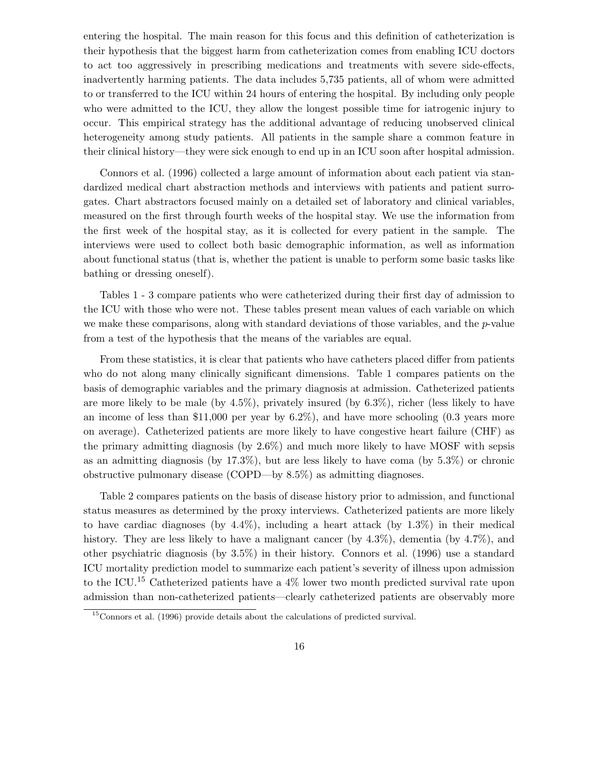entering the hospital. The main reason for this focus and this definition of catheterization is their hypothesis that the biggest harm from catheterization comes from enabling ICU doctors to act too aggressively in prescribing medications and treatments with severe side-effects, inadvertently harming patients. The data includes 5,735 patients, all of whom were admitted to or transferred to the ICU within 24 hours of entering the hospital. By including only people who were admitted to the ICU, they allow the longest possible time for iatrogenic injury to occur. This empirical strategy has the additional advantage of reducing unobserved clinical heterogeneity among study patients. All patients in the sample share a common feature in their clinical history—they were sick enough to end up in an ICU soon after hospital admission.

Connors et al. (1996) collected a large amount of information about each patient via standardized medical chart abstraction methods and interviews with patients and patient surrogates. Chart abstractors focused mainly on a detailed set of laboratory and clinical variables, measured on the first through fourth weeks of the hospital stay. We use the information from the first week of the hospital stay, as it is collected for every patient in the sample. The interviews were used to collect both basic demographic information, as well as information about functional status (that is, whether the patient is unable to perform some basic tasks like bathing or dressing oneself).

Tables 1 - 3 compare patients who were catheterized during their first day of admission to the ICU with those who were not. These tables present mean values of each variable on which we make these comparisons, along with standard deviations of those variables, and the p-value from a test of the hypothesis that the means of the variables are equal.

From these statistics, it is clear that patients who have catheters placed differ from patients who do not along many clinically significant dimensions. Table 1 compares patients on the basis of demographic variables and the primary diagnosis at admission. Catheterized patients are more likely to be male (by  $4.5\%$ ), privately insured (by  $6.3\%$ ), richer (less likely to have an income of less than \$11,000 per year by  $6.2\%$ ), and have more schooling  $(0.3 \text{ years more})$ on average). Catheterized patients are more likely to have congestive heart failure (CHF) as the primary admitting diagnosis (by 2.6%) and much more likely to have MOSF with sepsis as an admitting diagnosis (by 17.3%), but are less likely to have coma (by 5.3%) or chronic obstructive pulmonary disease (COPD—by 8.5%) as admitting diagnoses.

Table 2 compares patients on the basis of disease history prior to admission, and functional status measures as determined by the proxy interviews. Catheterized patients are more likely to have cardiac diagnoses (by  $4.4\%$ ), including a heart attack (by 1.3%) in their medical history. They are less likely to have a malignant cancer (by 4.3%), dementia (by 4.7%), and other psychiatric diagnosis (by 3.5%) in their history. Connors et al. (1996) use a standard ICU mortality prediction model to summarize each patient's severity of illness upon admission to the ICU.<sup>15</sup> Catheterized patients have a 4% lower two month predicted survival rate upon admission than non-catheterized patients—clearly catheterized patients are observably more

<sup>15</sup>Connors et al. (1996) provide details about the calculations of predicted survival.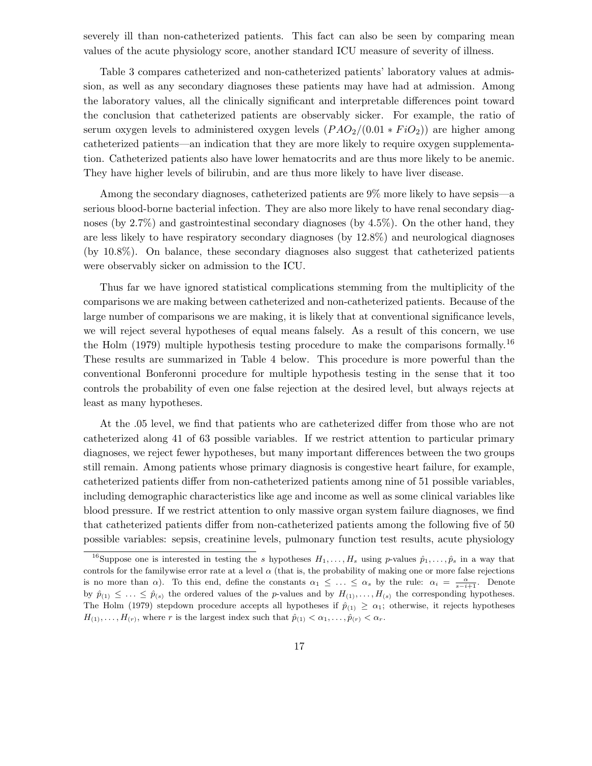severely ill than non-catheterized patients. This fact can also be seen by comparing mean values of the acute physiology score, another standard ICU measure of severity of illness.

Table 3 compares catheterized and non-catheterized patients' laboratory values at admission, as well as any secondary diagnoses these patients may have had at admission. Among the laboratory values, all the clinically significant and interpretable differences point toward the conclusion that catheterized patients are observably sicker. For example, the ratio of serum oxygen levels to administered oxygen levels  $(PAO<sub>2</sub>/(0.01 * FiO<sub>2</sub>)$  are higher among catheterized patients—an indication that they are more likely to require oxygen supplementation. Catheterized patients also have lower hematocrits and are thus more likely to be anemic. They have higher levels of bilirubin, and are thus more likely to have liver disease.

Among the secondary diagnoses, catheterized patients are 9% more likely to have sepsis—a serious blood-borne bacterial infection. They are also more likely to have renal secondary diagnoses (by 2.7%) and gastrointestinal secondary diagnoses (by 4.5%). On the other hand, they are less likely to have respiratory secondary diagnoses (by 12.8%) and neurological diagnoses (by 10.8%). On balance, these secondary diagnoses also suggest that catheterized patients were observably sicker on admission to the ICU.

Thus far we have ignored statistical complications stemming from the multiplicity of the comparisons we are making between catheterized and non-catheterized patients. Because of the large number of comparisons we are making, it is likely that at conventional significance levels, we will reject several hypotheses of equal means falsely. As a result of this concern, we use the Holm (1979) multiple hypothesis testing procedure to make the comparisons formally.<sup>16</sup> These results are summarized in Table 4 below. This procedure is more powerful than the conventional Bonferonni procedure for multiple hypothesis testing in the sense that it too controls the probability of even one false rejection at the desired level, but always rejects at least as many hypotheses.

At the .05 level, we find that patients who are catheterized differ from those who are not catheterized along 41 of 63 possible variables. If we restrict attention to particular primary diagnoses, we reject fewer hypotheses, but many important differences between the two groups still remain. Among patients whose primary diagnosis is congestive heart failure, for example, catheterized patients differ from non-catheterized patients among nine of 51 possible variables, including demographic characteristics like age and income as well as some clinical variables like blood pressure. If we restrict attention to only massive organ system failure diagnoses, we find that catheterized patients differ from non-catheterized patients among the following five of 50 possible variables: sepsis, creatinine levels, pulmonary function test results, acute physiology

<sup>&</sup>lt;sup>16</sup>Suppose one is interested in testing the s hypotheses  $H_1, \ldots, H_s$  using p-values  $\hat{p}_1, \ldots, \hat{p}_s$  in a way that controls for the familywise error rate at a level  $\alpha$  (that is, the probability of making one or more false rejections is no more than  $\alpha$ ). To this end, define the constants  $\alpha_1 \leq \ldots \leq \alpha_s$  by the rule:  $\alpha_i = \frac{\alpha}{s-i+1}$ . Denote by  $\hat{p}_{(1)} \leq \ldots \leq \hat{p}_{(s)}$  the ordered values of the *p*-values and by  $H_{(1)}, \ldots, H_{(s)}$  the corresponding hypotheses. The Holm (1979) stepdown procedure accepts all hypotheses if  $\hat{p}_{(1)} \ge \alpha_1$ ; otherwise, it rejects hypotheses  $H_{(1)},\ldots,H_{(r)}$ , where r is the largest index such that  $\hat{p}_{(1)} < \alpha_1,\ldots,\hat{p}_{(r)} < \alpha_r$ .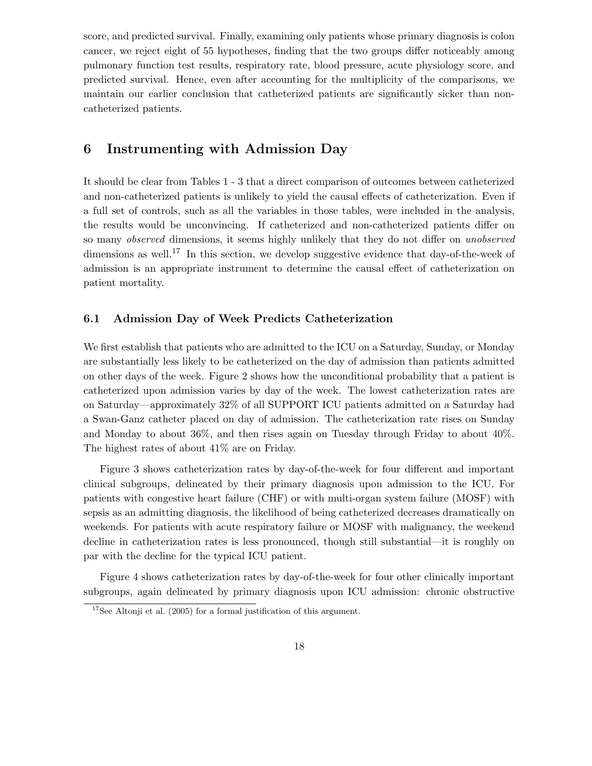score, and predicted survival. Finally, examining only patients whose primary diagnosis is colon cancer, we reject eight of 55 hypotheses, finding that the two groups differ noticeably among pulmonary function test results, respiratory rate, blood pressure, acute physiology score, and predicted survival. Hence, even after accounting for the multiplicity of the comparisons, we maintain our earlier conclusion that catheterized patients are significantly sicker than noncatheterized patients.

# 6 Instrumenting with Admission Day

It should be clear from Tables 1 - 3 that a direct comparison of outcomes between catheterized and non-catheterized patients is unlikely to yield the causal effects of catheterization. Even if a full set of controls, such as all the variables in those tables, were included in the analysis, the results would be unconvincing. If catheterized and non-catheterized patients differ on so many observed dimensions, it seems highly unlikely that they do not differ on unobserved dimensions as well.<sup>17</sup> In this section, we develop suggestive evidence that day-of-the-week of admission is an appropriate instrument to determine the causal effect of catheterization on patient mortality.

#### 6.1 Admission Day of Week Predicts Catheterization

We first establish that patients who are admitted to the ICU on a Saturday, Sunday, or Monday are substantially less likely to be catheterized on the day of admission than patients admitted on other days of the week. Figure 2 shows how the unconditional probability that a patient is catheterized upon admission varies by day of the week. The lowest catheterization rates are on Saturday—approximately 32% of all SUPPORT ICU patients admitted on a Saturday had a Swan-Ganz catheter placed on day of admission. The catheterization rate rises on Sunday and Monday to about 36%, and then rises again on Tuesday through Friday to about 40%. The highest rates of about 41% are on Friday.

Figure 3 shows catheterization rates by day-of-the-week for four different and important clinical subgroups, delineated by their primary diagnosis upon admission to the ICU. For patients with congestive heart failure (CHF) or with multi-organ system failure (MOSF) with sepsis as an admitting diagnosis, the likelihood of being catheterized decreases dramatically on weekends. For patients with acute respiratory failure or MOSF with malignancy, the weekend decline in catheterization rates is less pronounced, though still substantial—it is roughly on par with the decline for the typical ICU patient.

Figure 4 shows catheterization rates by day-of-the-week for four other clinically important subgroups, again delineated by primary diagnosis upon ICU admission: chronic obstructive

<sup>&</sup>lt;sup>17</sup>See Altonji et al. (2005) for a formal justification of this argument.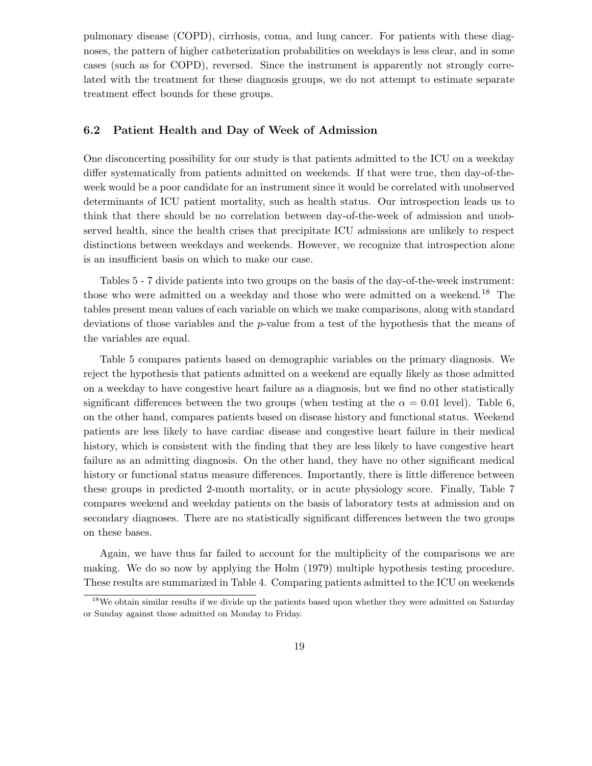pulmonary disease (COPD), cirrhosis, coma, and lung cancer. For patients with these diagnoses, the pattern of higher catheterization probabilities on weekdays is less clear, and in some cases (such as for COPD), reversed. Since the instrument is apparently not strongly correlated with the treatment for these diagnosis groups, we do not attempt to estimate separate treatment effect bounds for these groups.

#### 6.2 Patient Health and Day of Week of Admission

One disconcerting possibility for our study is that patients admitted to the ICU on a weekday differ systematically from patients admitted on weekends. If that were true, then day-of-theweek would be a poor candidate for an instrument since it would be correlated with unobserved determinants of ICU patient mortality, such as health status. Our introspection leads us to think that there should be no correlation between day-of-the-week of admission and unobserved health, since the health crises that precipitate ICU admissions are unlikely to respect distinctions between weekdays and weekends. However, we recognize that introspection alone is an insufficient basis on which to make our case.

Tables 5 - 7 divide patients into two groups on the basis of the day-of-the-week instrument: those who were admitted on a weekday and those who were admitted on a weekend.<sup>18</sup> The tables present mean values of each variable on which we make comparisons, along with standard deviations of those variables and the p-value from a test of the hypothesis that the means of the variables are equal.

Table 5 compares patients based on demographic variables on the primary diagnosis. We reject the hypothesis that patients admitted on a weekend are equally likely as those admitted on a weekday to have congestive heart failure as a diagnosis, but we find no other statistically significant differences between the two groups (when testing at the  $\alpha = 0.01$  level). Table 6, on the other hand, compares patients based on disease history and functional status. Weekend patients are less likely to have cardiac disease and congestive heart failure in their medical history, which is consistent with the finding that they are less likely to have congestive heart failure as an admitting diagnosis. On the other hand, they have no other significant medical history or functional status measure differences. Importantly, there is little difference between these groups in predicted 2-month mortality, or in acute physiology score. Finally, Table 7 compares weekend and weekday patients on the basis of laboratory tests at admission and on secondary diagnoses. There are no statistically significant differences between the two groups on these bases.

Again, we have thus far failed to account for the multiplicity of the comparisons we are making. We do so now by applying the Holm (1979) multiple hypothesis testing procedure. These results are summarized in Table 4. Comparing patients admitted to the ICU on weekends

<sup>&</sup>lt;sup>18</sup>We obtain similar results if we divide up the patients based upon whether they were admitted on Saturday or Sunday against those admitted on Monday to Friday.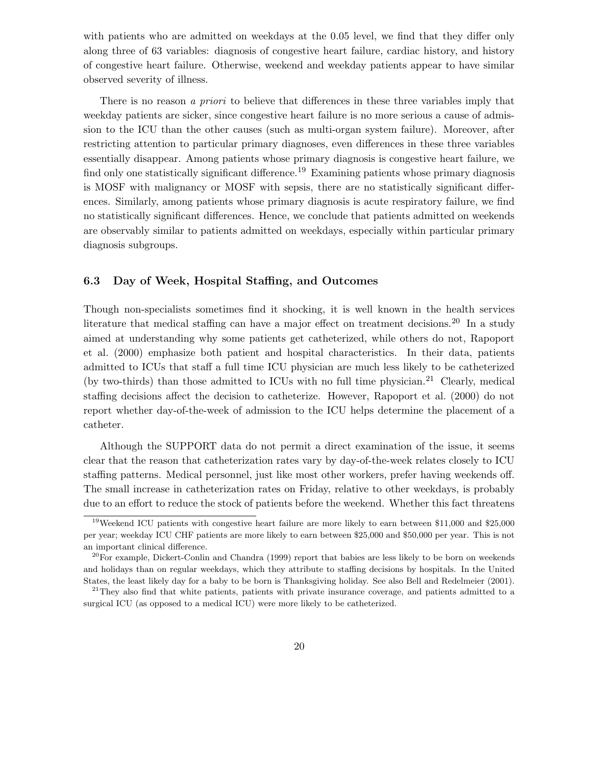with patients who are admitted on weekdays at the 0.05 level, we find that they differ only along three of 63 variables: diagnosis of congestive heart failure, cardiac history, and history of congestive heart failure. Otherwise, weekend and weekday patients appear to have similar observed severity of illness.

There is no reason a *priori* to believe that differences in these three variables imply that weekday patients are sicker, since congestive heart failure is no more serious a cause of admission to the ICU than the other causes (such as multi-organ system failure). Moreover, after restricting attention to particular primary diagnoses, even differences in these three variables essentially disappear. Among patients whose primary diagnosis is congestive heart failure, we find only one statistically significant difference.<sup>19</sup> Examining patients whose primary diagnosis is MOSF with malignancy or MOSF with sepsis, there are no statistically significant differences. Similarly, among patients whose primary diagnosis is acute respiratory failure, we find no statistically significant differences. Hence, we conclude that patients admitted on weekends are observably similar to patients admitted on weekdays, especially within particular primary diagnosis subgroups.

### 6.3 Day of Week, Hospital Staffing, and Outcomes

Though non-specialists sometimes find it shocking, it is well known in the health services literature that medical staffing can have a major effect on treatment decisions.<sup>20</sup> In a study aimed at understanding why some patients get catheterized, while others do not, Rapoport et al. (2000) emphasize both patient and hospital characteristics. In their data, patients admitted to ICUs that staff a full time ICU physician are much less likely to be catheterized (by two-thirds) than those admitted to ICUs with no full time physician.<sup>21</sup> Clearly, medical staffing decisions affect the decision to catheterize. However, Rapoport et al. (2000) do not report whether day-of-the-week of admission to the ICU helps determine the placement of a catheter.

Although the SUPPORT data do not permit a direct examination of the issue, it seems clear that the reason that catheterization rates vary by day-of-the-week relates closely to ICU staffing patterns. Medical personnel, just like most other workers, prefer having weekends off. The small increase in catheterization rates on Friday, relative to other weekdays, is probably due to an effort to reduce the stock of patients before the weekend. Whether this fact threatens

<sup>&</sup>lt;sup>19</sup>Weekend ICU patients with congestive heart failure are more likely to earn between \$11,000 and \$25,000 per year; weekday ICU CHF patients are more likely to earn between \$25,000 and \$50,000 per year. This is not an important clinical difference.

 $20$ For example, Dickert-Conlin and Chandra (1999) report that babies are less likely to be born on weekends and holidays than on regular weekdays, which they attribute to staffing decisions by hospitals. In the United States, the least likely day for a baby to be born is Thanksgiving holiday. See also Bell and Redelmeier (2001).

<sup>&</sup>lt;sup>21</sup>They also find that white patients, patients with private insurance coverage, and patients admitted to a surgical ICU (as opposed to a medical ICU) were more likely to be catheterized.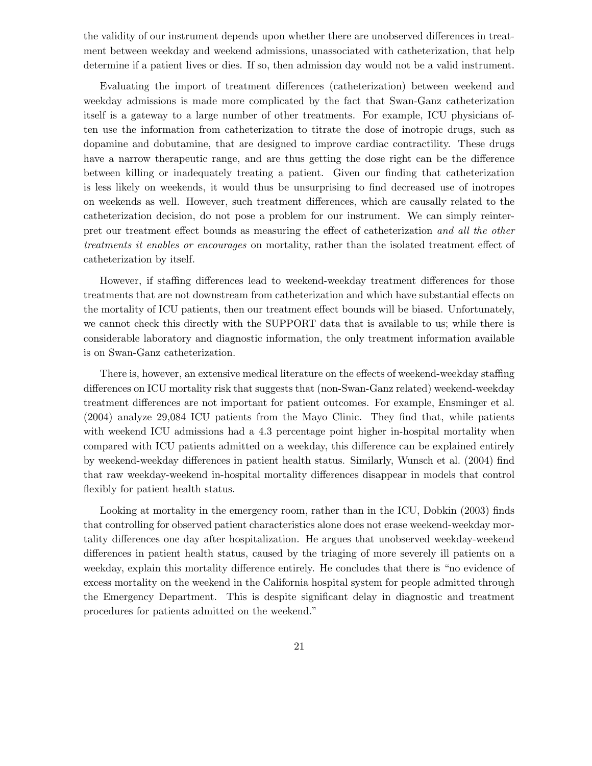the validity of our instrument depends upon whether there are unobserved differences in treatment between weekday and weekend admissions, unassociated with catheterization, that help determine if a patient lives or dies. If so, then admission day would not be a valid instrument.

Evaluating the import of treatment differences (catheterization) between weekend and weekday admissions is made more complicated by the fact that Swan-Ganz catheterization itself is a gateway to a large number of other treatments. For example, ICU physicians often use the information from catheterization to titrate the dose of inotropic drugs, such as dopamine and dobutamine, that are designed to improve cardiac contractility. These drugs have a narrow therapeutic range, and are thus getting the dose right can be the difference between killing or inadequately treating a patient. Given our finding that catheterization is less likely on weekends, it would thus be unsurprising to find decreased use of inotropes on weekends as well. However, such treatment differences, which are causally related to the catheterization decision, do not pose a problem for our instrument. We can simply reinterpret our treatment effect bounds as measuring the effect of catheterization and all the other treatments it enables or encourages on mortality, rather than the isolated treatment effect of catheterization by itself.

However, if staffing differences lead to weekend-weekday treatment differences for those treatments that are not downstream from catheterization and which have substantial effects on the mortality of ICU patients, then our treatment effect bounds will be biased. Unfortunately, we cannot check this directly with the SUPPORT data that is available to us; while there is considerable laboratory and diagnostic information, the only treatment information available is on Swan-Ganz catheterization.

There is, however, an extensive medical literature on the effects of weekend-weekday staffing differences on ICU mortality risk that suggests that (non-Swan-Ganz related) weekend-weekday treatment differences are not important for patient outcomes. For example, Ensminger et al. (2004) analyze 29,084 ICU patients from the Mayo Clinic. They find that, while patients with weekend ICU admissions had a 4.3 percentage point higher in-hospital mortality when compared with ICU patients admitted on a weekday, this difference can be explained entirely by weekend-weekday differences in patient health status. Similarly, Wunsch et al. (2004) find that raw weekday-weekend in-hospital mortality differences disappear in models that control flexibly for patient health status.

Looking at mortality in the emergency room, rather than in the ICU, Dobkin (2003) finds that controlling for observed patient characteristics alone does not erase weekend-weekday mortality differences one day after hospitalization. He argues that unobserved weekday-weekend differences in patient health status, caused by the triaging of more severely ill patients on a weekday, explain this mortality difference entirely. He concludes that there is "no evidence of excess mortality on the weekend in the California hospital system for people admitted through the Emergency Department. This is despite significant delay in diagnostic and treatment procedures for patients admitted on the weekend."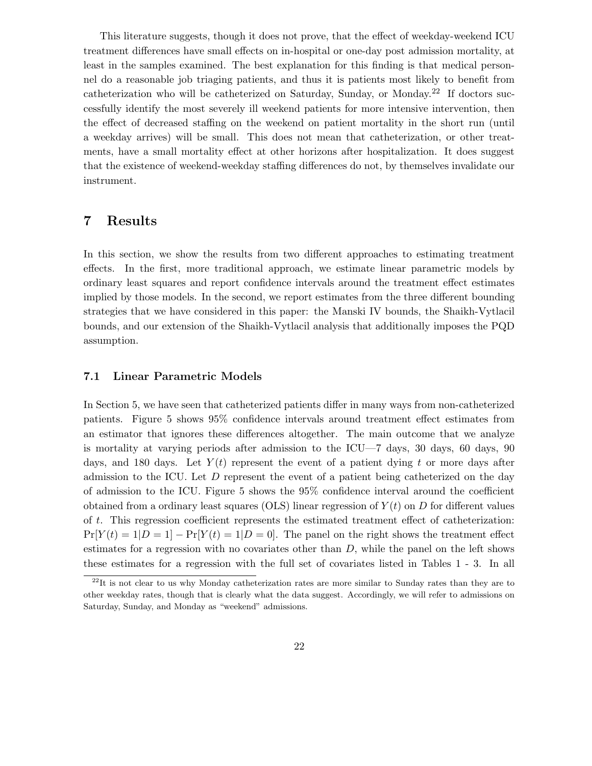This literature suggests, though it does not prove, that the effect of weekday-weekend ICU treatment differences have small effects on in-hospital or one-day post admission mortality, at least in the samples examined. The best explanation for this finding is that medical personnel do a reasonable job triaging patients, and thus it is patients most likely to benefit from catheterization who will be catheterized on Saturday, Sunday, or Monday.<sup>22</sup> If doctors successfully identify the most severely ill weekend patients for more intensive intervention, then the effect of decreased staffing on the weekend on patient mortality in the short run (until a weekday arrives) will be small. This does not mean that catheterization, or other treatments, have a small mortality effect at other horizons after hospitalization. It does suggest that the existence of weekend-weekday staffing differences do not, by themselves invalidate our instrument.

## 7 Results

In this section, we show the results from two different approaches to estimating treatment effects. In the first, more traditional approach, we estimate linear parametric models by ordinary least squares and report confidence intervals around the treatment effect estimates implied by those models. In the second, we report estimates from the three different bounding strategies that we have considered in this paper: the Manski IV bounds, the Shaikh-Vytlacil bounds, and our extension of the Shaikh-Vytlacil analysis that additionally imposes the PQD assumption.

#### 7.1 Linear Parametric Models

In Section 5, we have seen that catheterized patients differ in many ways from non-catheterized patients. Figure 5 shows 95% confidence intervals around treatment effect estimates from an estimator that ignores these differences altogether. The main outcome that we analyze is mortality at varying periods after admission to the ICU—7 days, 30 days, 60 days, 90 days, and 180 days. Let  $Y(t)$  represent the event of a patient dying t or more days after admission to the ICU. Let D represent the event of a patient being catheterized on the day of admission to the ICU. Figure 5 shows the 95% confidence interval around the coefficient obtained from a ordinary least squares (OLS) linear regression of  $Y(t)$  on D for different values of t. This regression coefficient represents the estimated treatment effect of catheterization:  $Pr[Y(t) = 1|D = 1] - Pr[Y(t) = 1|D = 0]$ . The panel on the right shows the treatment effect estimates for a regression with no covariates other than  $D$ , while the panel on the left shows these estimates for a regression with the full set of covariates listed in Tables 1 - 3. In all

 $^{22}$ It is not clear to us why Monday catheterization rates are more similar to Sunday rates than they are to other weekday rates, though that is clearly what the data suggest. Accordingly, we will refer to admissions on Saturday, Sunday, and Monday as "weekend" admissions.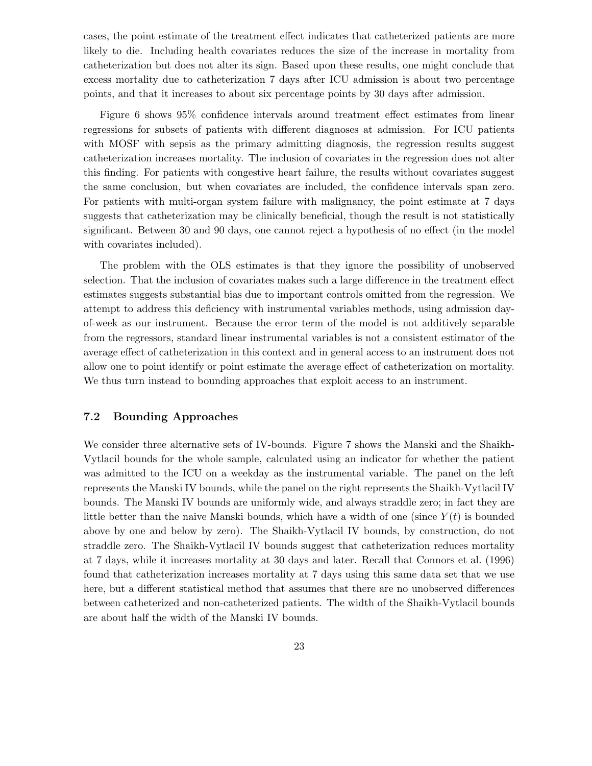cases, the point estimate of the treatment effect indicates that catheterized patients are more likely to die. Including health covariates reduces the size of the increase in mortality from catheterization but does not alter its sign. Based upon these results, one might conclude that excess mortality due to catheterization 7 days after ICU admission is about two percentage points, and that it increases to about six percentage points by 30 days after admission.

Figure 6 shows 95% confidence intervals around treatment effect estimates from linear regressions for subsets of patients with different diagnoses at admission. For ICU patients with MOSF with sepsis as the primary admitting diagnosis, the regression results suggest catheterization increases mortality. The inclusion of covariates in the regression does not alter this finding. For patients with congestive heart failure, the results without covariates suggest the same conclusion, but when covariates are included, the confidence intervals span zero. For patients with multi-organ system failure with malignancy, the point estimate at 7 days suggests that catheterization may be clinically beneficial, though the result is not statistically significant. Between 30 and 90 days, one cannot reject a hypothesis of no effect (in the model with covariates included).

The problem with the OLS estimates is that they ignore the possibility of unobserved selection. That the inclusion of covariates makes such a large difference in the treatment effect estimates suggests substantial bias due to important controls omitted from the regression. We attempt to address this deficiency with instrumental variables methods, using admission dayof-week as our instrument. Because the error term of the model is not additively separable from the regressors, standard linear instrumental variables is not a consistent estimator of the average effect of catheterization in this context and in general access to an instrument does not allow one to point identify or point estimate the average effect of catheterization on mortality. We thus turn instead to bounding approaches that exploit access to an instrument.

#### 7.2 Bounding Approaches

We consider three alternative sets of IV-bounds. Figure 7 shows the Manski and the Shaikh-Vytlacil bounds for the whole sample, calculated using an indicator for whether the patient was admitted to the ICU on a weekday as the instrumental variable. The panel on the left represents the Manski IV bounds, while the panel on the right represents the Shaikh-Vytlacil IV bounds. The Manski IV bounds are uniformly wide, and always straddle zero; in fact they are little better than the naive Manski bounds, which have a width of one (since  $Y(t)$  is bounded above by one and below by zero). The Shaikh-Vytlacil IV bounds, by construction, do not straddle zero. The Shaikh-Vytlacil IV bounds suggest that catheterization reduces mortality at 7 days, while it increases mortality at 30 days and later. Recall that Connors et al. (1996) found that catheterization increases mortality at 7 days using this same data set that we use here, but a different statistical method that assumes that there are no unobserved differences between catheterized and non-catheterized patients. The width of the Shaikh-Vytlacil bounds are about half the width of the Manski IV bounds.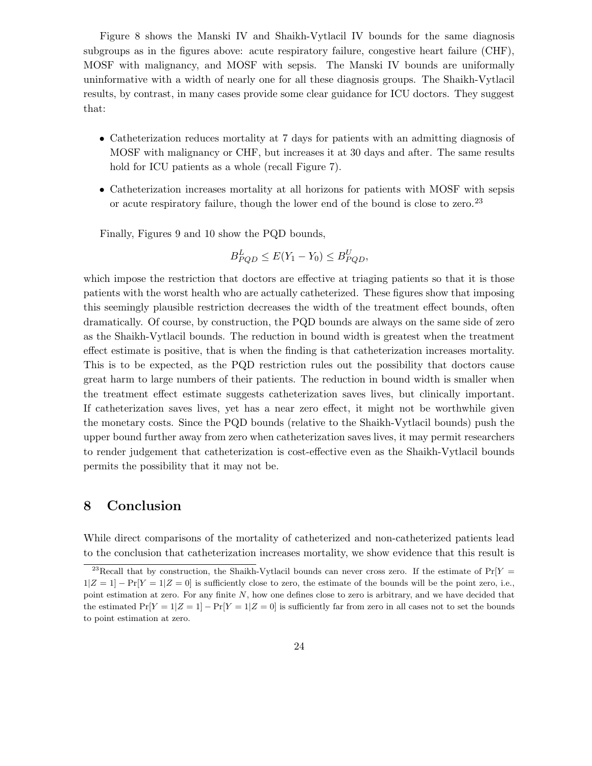Figure 8 shows the Manski IV and Shaikh-Vytlacil IV bounds for the same diagnosis subgroups as in the figures above: acute respiratory failure, congestive heart failure (CHF), MOSF with malignancy, and MOSF with sepsis. The Manski IV bounds are uniformally uninformative with a width of nearly one for all these diagnosis groups. The Shaikh-Vytlacil results, by contrast, in many cases provide some clear guidance for ICU doctors. They suggest that:

- Catheterization reduces mortality at 7 days for patients with an admitting diagnosis of MOSF with malignancy or CHF, but increases it at 30 days and after. The same results hold for ICU patients as a whole (recall Figure 7).
- Catheterization increases mortality at all horizons for patients with MOSF with sepsis or acute respiratory failure, though the lower end of the bound is close to zero.<sup>23</sup>

Finally, Figures 9 and 10 show the PQD bounds,

$$
B_{PQD}^L \le E(Y_1 - Y_0) \le B_{PQD}^U,
$$

which impose the restriction that doctors are effective at triaging patients so that it is those patients with the worst health who are actually catheterized. These figures show that imposing this seemingly plausible restriction decreases the width of the treatment effect bounds, often dramatically. Of course, by construction, the PQD bounds are always on the same side of zero as the Shaikh-Vytlacil bounds. The reduction in bound width is greatest when the treatment effect estimate is positive, that is when the finding is that catheterization increases mortality. This is to be expected, as the PQD restriction rules out the possibility that doctors cause great harm to large numbers of their patients. The reduction in bound width is smaller when the treatment effect estimate suggests catheterization saves lives, but clinically important. If catheterization saves lives, yet has a near zero effect, it might not be worthwhile given the monetary costs. Since the PQD bounds (relative to the Shaikh-Vytlacil bounds) push the upper bound further away from zero when catheterization saves lives, it may permit researchers to render judgement that catheterization is cost-effective even as the Shaikh-Vytlacil bounds permits the possibility that it may not be.

## 8 Conclusion

While direct comparisons of the mortality of catheterized and non-catheterized patients lead to the conclusion that catheterization increases mortality, we show evidence that this result is

<sup>&</sup>lt;sup>23</sup>Recall that by construction, the Shaikh-Vytlacil bounds can never cross zero. If the estimate of  $Pr[Y =$  $1|Z = 1| - \Pr[Y = 1|Z = 0]$  is sufficiently close to zero, the estimate of the bounds will be the point zero, i.e., point estimation at zero. For any finite N, how one defines close to zero is arbitrary, and we have decided that the estimated  $Pr[Y = 1|Z = 1] - Pr[Y = 1|Z = 0]$  is sufficiently far from zero in all cases not to set the bounds to point estimation at zero.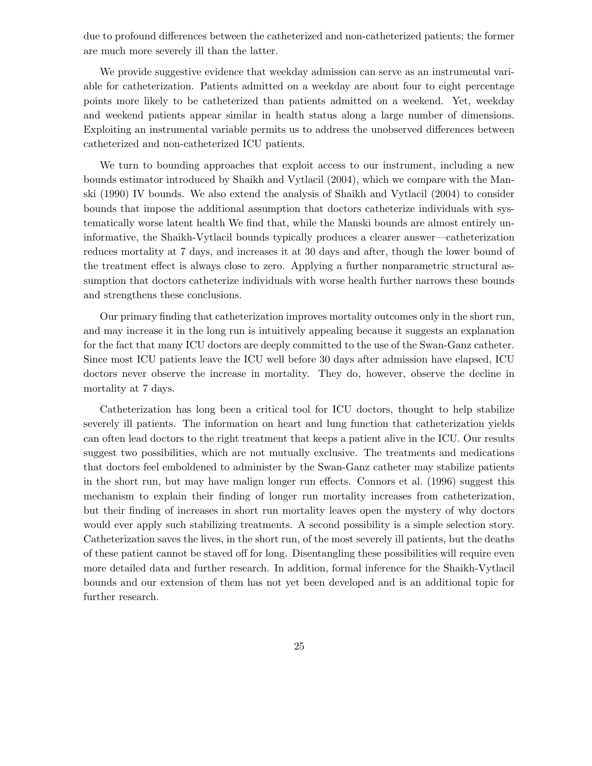due to profound differences between the catheterized and non-catheterized patients; the former are much more severely ill than the latter.

We provide suggestive evidence that weekday admission can serve as an instrumental variable for catheterization. Patients admitted on a weekday are about four to eight percentage points more likely to be catheterized than patients admitted on a weekend. Yet, weekday and weekend patients appear similar in health status along a large number of dimensions. Exploiting an instrumental variable permits us to address the unobserved differences between catheterized and non-catheterized ICU patients.

We turn to bounding approaches that exploit access to our instrument, including a new bounds estimator introduced by Shaikh and Vytlacil (2004), which we compare with the Manski (1990) IV bounds. We also extend the analysis of Shaikh and Vytlacil (2004) to consider bounds that impose the additional assumption that doctors catheterize individuals with systematically worse latent health We find that, while the Manski bounds are almost entirely uninformative, the Shaikh-Vytlacil bounds typically produces a clearer answer—catheterization reduces mortality at 7 days, and increases it at 30 days and after, though the lower bound of the treatment effect is always close to zero. Applying a further nonparametric structural assumption that doctors catheterize individuals with worse health further narrows these bounds and strengthens these conclusions.

Our primary finding that catheterization improves mortality outcomes only in the short run, and may increase it in the long run is intuitively appealing because it suggests an explanation for the fact that many ICU doctors are deeply committed to the use of the Swan-Ganz catheter. Since most ICU patients leave the ICU well before 30 days after admission have elapsed, ICU doctors never observe the increase in mortality. They do, however, observe the decline in mortality at 7 days.

Catheterization has long been a critical tool for ICU doctors, thought to help stabilize severely ill patients. The information on heart and lung function that catheterization yields can often lead doctors to the right treatment that keeps a patient alive in the ICU. Our results suggest two possibilities, which are not mutually exclusive. The treatments and medications that doctors feel emboldened to administer by the Swan-Ganz catheter may stabilize patients in the short run, but may have malign longer run effects. Connors et al. (1996) suggest this mechanism to explain their finding of longer run mortality increases from catheterization, but their finding of increases in short run mortality leaves open the mystery of why doctors would ever apply such stabilizing treatments. A second possibility is a simple selection story. Catheterization saves the lives, in the short run, of the most severely ill patients, but the deaths of these patient cannot be staved off for long. Disentangling these possibilities will require even more detailed data and further research. In addition, formal inference for the Shaikh-Vytlacil bounds and our extension of them has not yet been developed and is an additional topic for further research.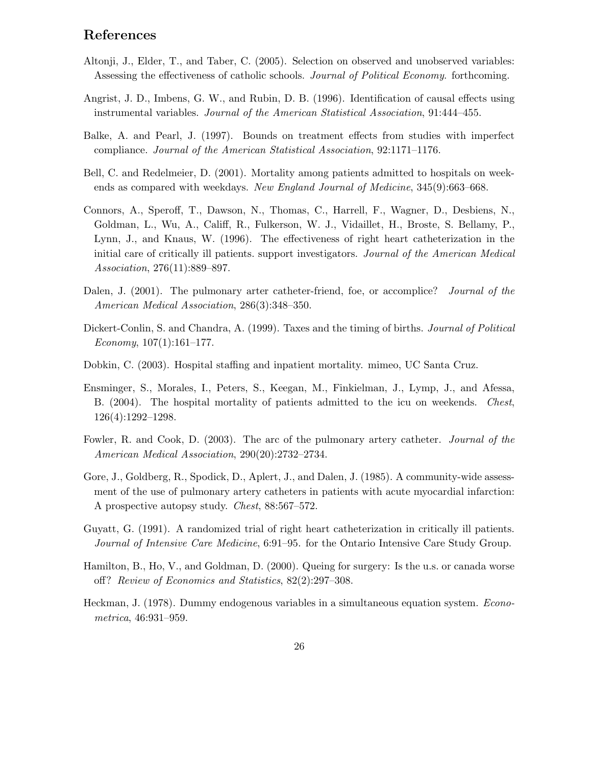# References

- Altonji, J., Elder, T., and Taber, C. (2005). Selection on observed and unobserved variables: Assessing the effectiveness of catholic schools. Journal of Political Economy. forthcoming.
- Angrist, J. D., Imbens, G. W., and Rubin, D. B. (1996). Identification of causal effects using instrumental variables. Journal of the American Statistical Association, 91:444–455.
- Balke, A. and Pearl, J. (1997). Bounds on treatment effects from studies with imperfect compliance. Journal of the American Statistical Association, 92:1171–1176.
- Bell, C. and Redelmeier, D. (2001). Mortality among patients admitted to hospitals on weekends as compared with weekdays. New England Journal of Medicine, 345(9):663–668.
- Connors, A., Speroff, T., Dawson, N., Thomas, C., Harrell, F., Wagner, D., Desbiens, N., Goldman, L., Wu, A., Califf, R., Fulkerson, W. J., Vidaillet, H., Broste, S. Bellamy, P., Lynn, J., and Knaus, W. (1996). The effectiveness of right heart catheterization in the initial care of critically ill patients. support investigators. Journal of the American Medical Association, 276(11):889–897.
- Dalen, J. (2001). The pulmonary arter catheter-friend, foe, or accomplice? Journal of the American Medical Association, 286(3):348–350.
- Dickert-Conlin, S. and Chandra, A. (1999). Taxes and the timing of births. *Journal of Political*  $Economy, 107(1):161-177.$
- Dobkin, C. (2003). Hospital staffing and inpatient mortality. mimeo, UC Santa Cruz.
- Ensminger, S., Morales, I., Peters, S., Keegan, M., Finkielman, J., Lymp, J., and Afessa, B. (2004). The hospital mortality of patients admitted to the icu on weekends. Chest, 126(4):1292–1298.
- Fowler, R. and Cook, D. (2003). The arc of the pulmonary artery catheter. Journal of the American Medical Association, 290(20):2732–2734.
- Gore, J., Goldberg, R., Spodick, D., Aplert, J., and Dalen, J. (1985). A community-wide assessment of the use of pulmonary artery catheters in patients with acute myocardial infarction: A prospective autopsy study. Chest, 88:567–572.
- Guyatt, G. (1991). A randomized trial of right heart catheterization in critically ill patients. Journal of Intensive Care Medicine, 6:91–95. for the Ontario Intensive Care Study Group.
- Hamilton, B., Ho, V., and Goldman, D. (2000). Queing for surgery: Is the u.s. or canada worse off? Review of Economics and Statistics, 82(2):297–308.
- Heckman, J. (1978). Dummy endogenous variables in a simultaneous equation system. Econometrica, 46:931–959.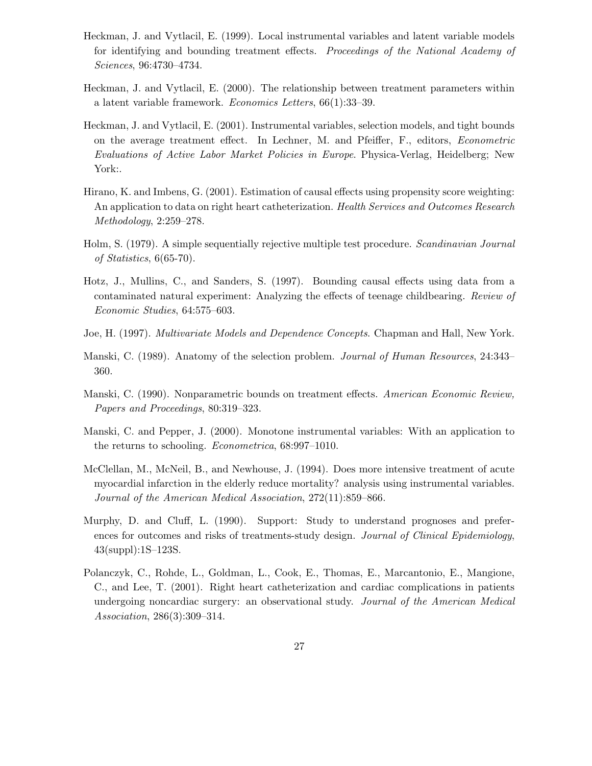- Heckman, J. and Vytlacil, E. (1999). Local instrumental variables and latent variable models for identifying and bounding treatment effects. Proceedings of the National Academy of Sciences, 96:4730–4734.
- Heckman, J. and Vytlacil, E. (2000). The relationship between treatment parameters within a latent variable framework. Economics Letters, 66(1):33–39.
- Heckman, J. and Vytlacil, E. (2001). Instrumental variables, selection models, and tight bounds on the average treatment effect. In Lechner, M. and Pfeiffer, F., editors, Econometric Evaluations of Active Labor Market Policies in Europe. Physica-Verlag, Heidelberg; New York:.
- Hirano, K. and Imbens, G. (2001). Estimation of causal effects using propensity score weighting: An application to data on right heart catheterization. Health Services and Outcomes Research Methodology, 2:259–278.
- Holm, S. (1979). A simple sequentially rejective multiple test procedure. Scandinavian Journal of Statistics, 6(65-70).
- Hotz, J., Mullins, C., and Sanders, S. (1997). Bounding causal effects using data from a contaminated natural experiment: Analyzing the effects of teenage childbearing. Review of Economic Studies, 64:575–603.
- Joe, H. (1997). *Multivariate Models and Dependence Concepts*. Chapman and Hall, New York.
- Manski, C. (1989). Anatomy of the selection problem. Journal of Human Resources, 24:343– 360.
- Manski, C. (1990). Nonparametric bounds on treatment effects. American Economic Review, Papers and Proceedings, 80:319–323.
- Manski, C. and Pepper, J. (2000). Monotone instrumental variables: With an application to the returns to schooling. Econometrica, 68:997–1010.
- McClellan, M., McNeil, B., and Newhouse, J. (1994). Does more intensive treatment of acute myocardial infarction in the elderly reduce mortality? analysis using instrumental variables. Journal of the American Medical Association, 272(11):859–866.
- Murphy, D. and Cluff, L. (1990). Support: Study to understand prognoses and preferences for outcomes and risks of treatments-study design. Journal of Clinical Epidemiology, 43(suppl):1S–123S.
- Polanczyk, C., Rohde, L., Goldman, L., Cook, E., Thomas, E., Marcantonio, E., Mangione, C., and Lee, T. (2001). Right heart catheterization and cardiac complications in patients undergoing noncardiac surgery: an observational study. Journal of the American Medical Association, 286(3):309–314.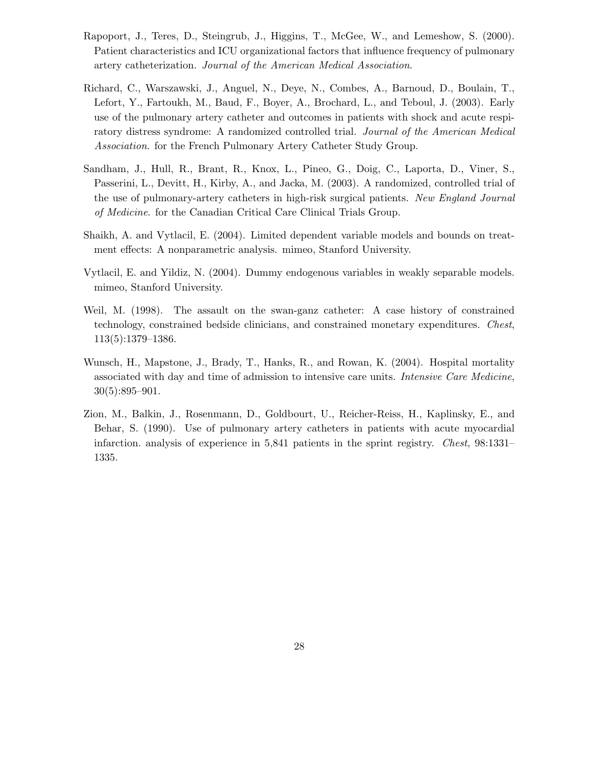- Rapoport, J., Teres, D., Steingrub, J., Higgins, T., McGee, W., and Lemeshow, S. (2000). Patient characteristics and ICU organizational factors that influence frequency of pulmonary artery catheterization. Journal of the American Medical Association.
- Richard, C., Warszawski, J., Anguel, N., Deye, N., Combes, A., Barnoud, D., Boulain, T., Lefort, Y., Fartoukh, M., Baud, F., Boyer, A., Brochard, L., and Teboul, J. (2003). Early use of the pulmonary artery catheter and outcomes in patients with shock and acute respiratory distress syndrome: A randomized controlled trial. Journal of the American Medical Association. for the French Pulmonary Artery Catheter Study Group.
- Sandham, J., Hull, R., Brant, R., Knox, L., Pineo, G., Doig, C., Laporta, D., Viner, S., Passerini, L., Devitt, H., Kirby, A., and Jacka, M. (2003). A randomized, controlled trial of the use of pulmonary-artery catheters in high-risk surgical patients. New England Journal of Medicine. for the Canadian Critical Care Clinical Trials Group.
- Shaikh, A. and Vytlacil, E. (2004). Limited dependent variable models and bounds on treatment effects: A nonparametric analysis. mimeo, Stanford University.
- Vytlacil, E. and Yildiz, N. (2004). Dummy endogenous variables in weakly separable models. mimeo, Stanford University.
- Weil, M. (1998). The assault on the swan-ganz catheter: A case history of constrained technology, constrained bedside clinicians, and constrained monetary expenditures. Chest, 113(5):1379–1386.
- Wunsch, H., Mapstone, J., Brady, T., Hanks, R., and Rowan, K. (2004). Hospital mortality associated with day and time of admission to intensive care units. Intensive Care Medicine, 30(5):895–901.
- Zion, M., Balkin, J., Rosenmann, D., Goldbourt, U., Reicher-Reiss, H., Kaplinsky, E., and Behar, S. (1990). Use of pulmonary artery catheters in patients with acute myocardial infarction. analysis of experience in 5,841 patients in the sprint registry. Chest, 98:1331– 1335.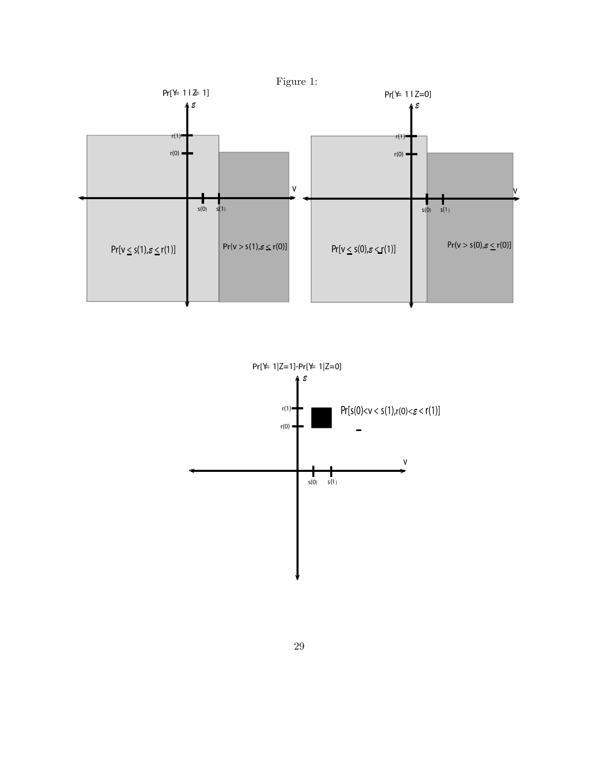

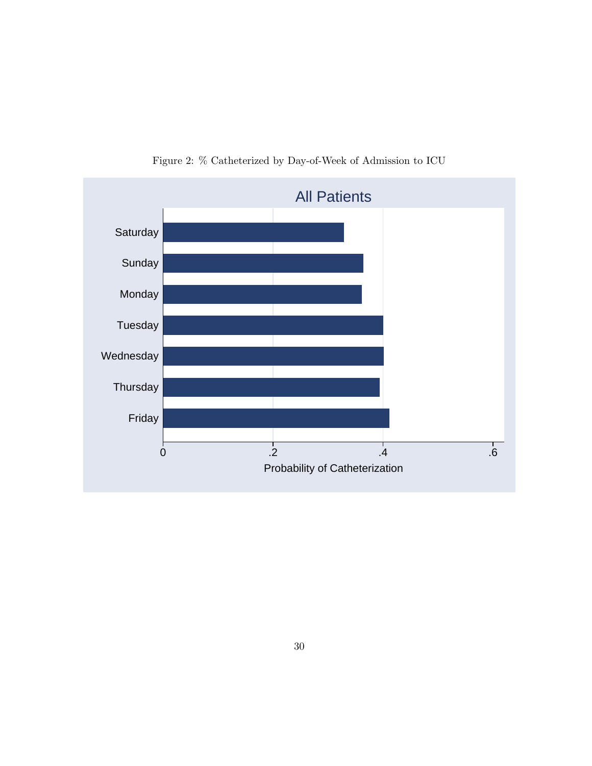

Figure 2: % Catheterized by Day-of-Week of Admission to ICU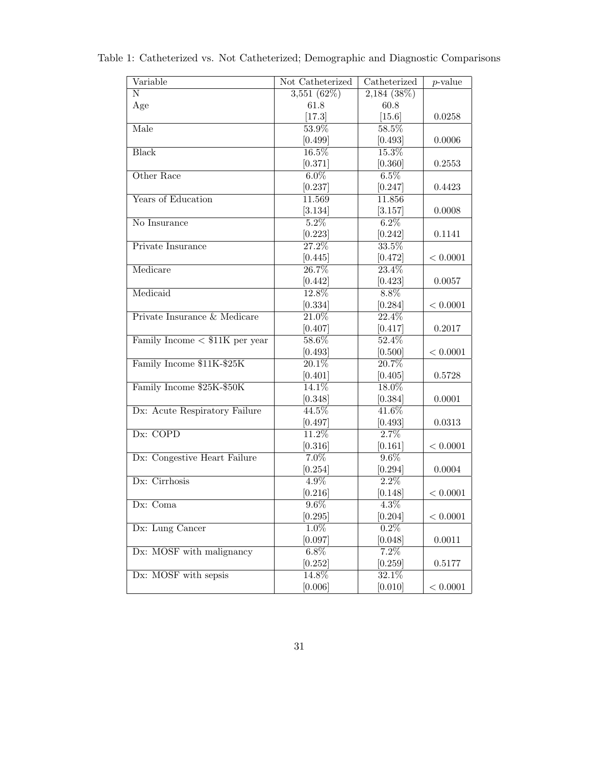| Variable                         | Not Catheterized    | Catheterized       | $\overline{p}\text{-value}$ |
|----------------------------------|---------------------|--------------------|-----------------------------|
| $\overline{\text{N}}$            | 3,551(62%)          | 2,184(38%)         |                             |
| Age                              | 61.8                | 60.8               |                             |
|                                  | [17.3]              | $[15.6]$           | 0.0258                      |
| Male                             | 53.9%               | 58.5%              |                             |
|                                  | $[0.499]$           | $[0.493]$          | 0.0006                      |
| <b>Black</b>                     | 16.5%               | 15.3%              |                             |
|                                  | [0.371]             | [0.360]            | 0.2553                      |
| Other Race                       | $6.0\%$             | 6.5%               |                             |
|                                  | [0.237]             | [0.247]            | 0.4423                      |
| Years of Education               | 11.569              | 11.856             |                             |
|                                  | [3.134]             | [3.157]            | 0.0008                      |
| No Insurance                     | $5.2\%$             | $6.2\%$            |                             |
|                                  | [0.223]             | [0.242]            | 0.1141                      |
| Private Insurance                | 27.2%               | 33.5%              |                             |
|                                  | [0.445]             | [0.472]            | < 0.0001                    |
| Medicare                         | 26.7%               | 23.4%              |                             |
|                                  | [0.442]             | [0.423]            | 0.0057                      |
| Medicaid                         | 12.8%               | $8.8\%$            |                             |
|                                  | [0.334]             | [0.284]            | < 0.0001                    |
| Private Insurance & Medicare     | $\overline{21.0\%}$ | 22.4%              |                             |
|                                  | [0.407]             | [0.417]            | 0.2017                      |
| Family Income $<$ \$11K per year | 58.6%               | 52.4%              |                             |
|                                  | [0.493]             | [0.500]            | < 0.0001                    |
| Family Income \$11K-\$25K        | 20.1%               | 20.7%              |                             |
|                                  | [0.401]             | [0.405]            | 0.5728                      |
| Family Income \$25K-\$50K        | 14.1%               | 18.0%              |                             |
|                                  | [0.348]             | [0.384]            | 0.0001                      |
| Dx: Acute Respiratory Failure    | 44.5%               | 41.6%              |                             |
|                                  | [0.497]             | [0.493]            | 0.0313                      |
| Dx: COPD                         | $11.2\%$            | 2.7%               |                             |
|                                  | [0.316]             | [0.161]            | $<0.0001\,$                 |
| Dx: Congestive Heart Failure     | $7.0\%$             | $9.6\%$            |                             |
|                                  | [0.254]             | [0.294]            | 0.0004                      |
| Dx: Cirrhosis                    | $4.9\%$             | $\overline{2.2\%}$ |                             |
|                                  | [0.216]             | [0.148]            | < 0.0001                    |
| Dx: Coma                         | $9.6\%$             | $\overline{4.3\%}$ |                             |
|                                  | [0.295]             | [0.204]            | < 0.0001                    |
| Dx: Lung Cancer                  | $1.0\%$             | $0.2\%$            |                             |
|                                  | [0.097]             | [0.048]            | $0.0011\,$                  |
| Dx: MOSF with malignancy         | $6.8\%$             | 7.2%               |                             |
|                                  | [0.252]             | [0.259]            | 0.5177                      |
| Dx: MOSF with sepsis             | 14.8%               | 32.1%              |                             |
|                                  | [0.006]             | [0.010]            | < 0.0001                    |

Table 1: Catheterized vs. Not Catheterized; Demographic and Diagnostic Comparisons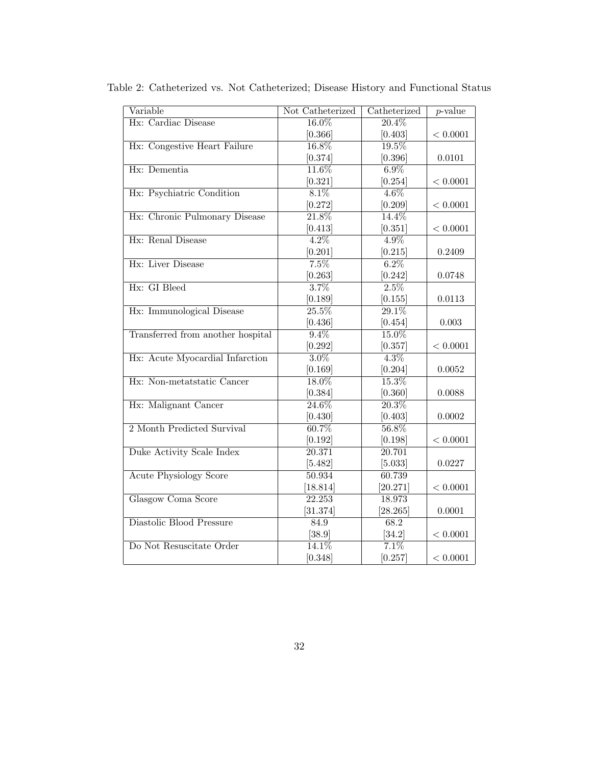| Variable                          | Not Catheterized    | Catheterized        | $p$ -value  |
|-----------------------------------|---------------------|---------------------|-------------|
| Hx: Cardiac Disease               | 16.0%               | $20.4\%$            |             |
|                                   | [0.366]             | [0.403]             | < 0.0001    |
| Hx: Congestive Heart Failure      | 16.8%               | 19.5%               |             |
|                                   | [0.374]             | [0.396]             | 0.0101      |
| Hx: Dementia                      | $11.6\%$            | $6.9\%$             |             |
|                                   | [0.321]             | [0.254]             | < 0.0001    |
| Hx: Psychiatric Condition         | $8.1\%$             | $4.6\%$             |             |
|                                   | [0.272]             | [0.209]             | < 0.0001    |
| Hx: Chronic Pulmonary Disease     | $\overline{21.8\%}$ | $14.4\%$            |             |
|                                   | [0.413]             | [0.351]             | < 0.0001    |
| Hx: Renal Disease                 | $4.2\%$             | $4.9\%$             |             |
|                                   | [0.201]             | [0.215]             | 0.2409      |
| Hx: Liver Disease                 | $7.5\%$             | $6.2\%$             |             |
|                                   | [0.263]             | [0.242]             | 0.0748      |
| Hx: GI Bleed                      | 3.7%                | $2.5\%$             |             |
|                                   | [0.189]             | [0.155]             | 0.0113      |
| Hx: Immunological Disease         | $\overline{25.5\%}$ | $\overline{29.1\%}$ |             |
|                                   | [0.436]             | [0.454]             | 0.003       |
| Transferred from another hospital | $9.4\%$             | 15.0%               |             |
|                                   | [0.292]             | [0.357]             | < 0.0001    |
| Hx: Acute Myocardial Infarction   | $3.0\%$             | $4.3\%$             |             |
|                                   | [0.169]             | [0.204]             | 0.0052      |
| Hx: Non-metatstatic Cancer        | 18.0%               | $15.3\%$            |             |
|                                   | [0.384]             | [0.360]             | 0.0088      |
| Hx: Malignant Cancer              | 24.6%               | 20.3%               |             |
|                                   | [0.430]             | [0.403]             | 0.0002      |
| 2 Month Predicted Survival        | 60.7%               | 56.8%               |             |
|                                   | [0.192]             | [0.198]             | < 0.0001    |
| Duke Activity Scale Index         | 20.371              | 20.701              |             |
|                                   | [5.482]             | [5.033]             | 0.0227      |
| <b>Acute Physiology Score</b>     | 50.934              | 60.739              |             |
|                                   | [18.814]            | [20.271]            | < 0.0001    |
| Glasgow Coma Score                | 22.253              | 18.973              |             |
|                                   | [31.374]            | [28.265]            | 0.0001      |
| Diastolic Blood Pressure          | 84.9                | 68.2                |             |
|                                   | [38.9]              | [34.2]              | $<0.0001\,$ |
| Do Not Resuscitate Order          | 14.1%               | 7.1%                |             |
|                                   | [0.348]             | [0.257]             | < 0.0001    |

Table 2: Catheterized vs. Not Catheterized; Disease History and Functional Status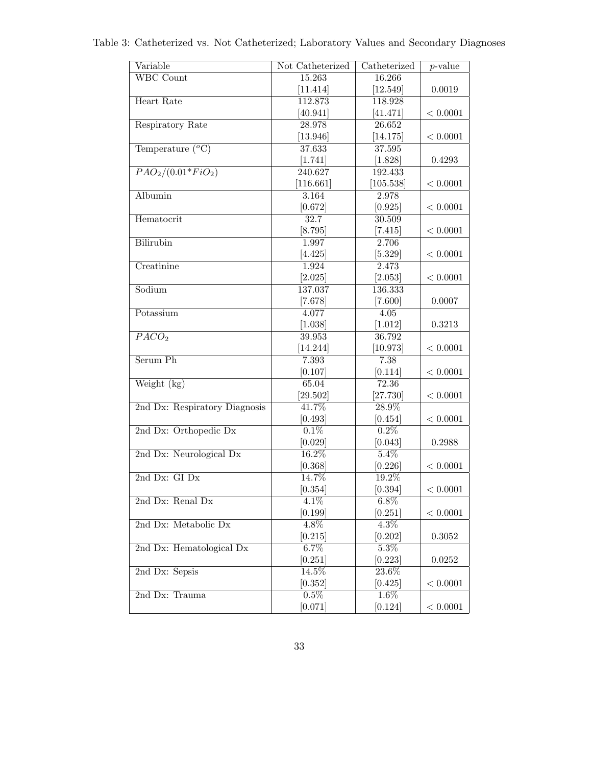| Variable                        | Not Catheterized   | Catheterized     | $p$ -value   |
|---------------------------------|--------------------|------------------|--------------|
| <b>WBC</b> Count                | 15.263             | 16.266           |              |
|                                 | [11.414]           | [12.549]         | 0.0019       |
| Heart Rate                      | 112.873            | 118.928          |              |
|                                 | [40.941]           | [41.471]         | < 0.0001     |
| Respiratory Rate                | 28.978             | 26.652           |              |
|                                 | [13.946]           | [14.175]         | $<0.0001\,$  |
| Temperature $(^oC)$             | 37.633             | 37.595           |              |
|                                 | [1.741]            | [1.828]          | 0.4293       |
| $\overline{PAO_2/(0.01*FiO_2)}$ | 240.627            | 192.433          |              |
|                                 | [116.661]          | [105.538]        | $< 0.0001\,$ |
| Albumin                         | $3.\overline{164}$ | 2.978            |              |
|                                 | [0.672]            | [0.925]          | $< 0.0001\,$ |
| Hematocrit                      | 32.7               | 30.509           |              |
|                                 | [8.795]            | $[7.415]$        | $< 0.0001$   |
| <b>Bilirubin</b>                | 1.997              | 2.706            |              |
|                                 | [4.425]            | [5.329]          | < 0.0001     |
| Creatinine                      | 1.924              | 2.473            |              |
|                                 | [2.025]            | [2.053]          | < 0.0001     |
| Sodium                          | 137.037            | 136.333          |              |
|                                 | [7.678]            | $[7.600]$        | 0.0007       |
| Potassium                       | 4.077              | 4.05             |              |
|                                 | [1.038]            | [1.012]          | 0.3213       |
| PACO <sub>2</sub>               | 39.953             | 36.792           |              |
| Serum Ph                        | [14.244]           | [10.973]         | $<0.0001\,$  |
|                                 | 7.393              | 7.38             | $<0.0001\,$  |
| Weight (kg)                     | [0.107]<br>65.04   | [0.114]<br>72.36 |              |
|                                 | [29.502]           | [27.730]         | $<0.0001\,$  |
| 2nd Dx: Respiratory Diagnosis   | 41.7%              | 28.9%            |              |
|                                 | [0.493]            | [0.454]          | $<0.0001\,$  |
| 2nd Dx: Orthopedic Dx           | $0.1\%$            | $0.2\%$          |              |
|                                 | [0.029]            | [0.043]          | 0.2988       |
| 2nd Dx: Neurological Dx         | $16.2\%$           | $5.4\%$          |              |
|                                 | [0.368]            | [0.226]          | < 0.0001     |
| $2nd$ Dx: GI Dx                 | 14.7%              | 19.2%            |              |
|                                 | [0.354]            | [0.394]          | $< 0.0001\,$ |
| 2nd Dx: Renal Dx                | 4.1%               | $6.8\%$          |              |
|                                 | [0.199]            | [0.251]          | < 0.0001     |
| 2nd Dx: Metabolic Dx            | 4.8%               | $4.3\%$          |              |
|                                 | [0.215]            | [0.202]          | 0.3052       |
| 2nd Dx: Hematological Dx        | $6.7\%$            | 5.3%             |              |
|                                 | [0.251]            | [0.223]          | 0.0252       |
| 2nd Dx: Sepsis                  | 14.5%              | 23.6%            |              |
|                                 | [0.352]            | [0.425]          | < 0.0001     |
| 2nd Dx: Trauma                  | $0.5\%$            | $1.6\%$          |              |
|                                 | [0.071]            | [0.124]          | < 0.0001     |

Table 3: Catheterized vs. Not Catheterized; Laboratory Values and Secondary Diagnoses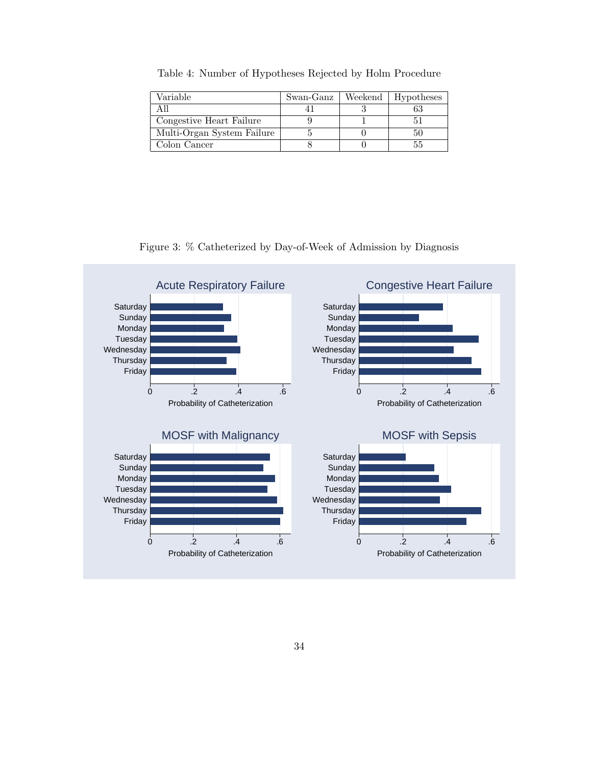Table 4: Number of Hypotheses Rejected by Holm Procedure

| Variable                   | Swan-Ganz | Weekend | Hypotheses |
|----------------------------|-----------|---------|------------|
| All                        |           |         |            |
| Congestive Heart Failure   |           |         |            |
| Multi-Organ System Failure |           |         |            |
| Colon Cancer               |           |         |            |

Figure 3: % Catheterized by Day-of-Week of Admission by Diagnosis

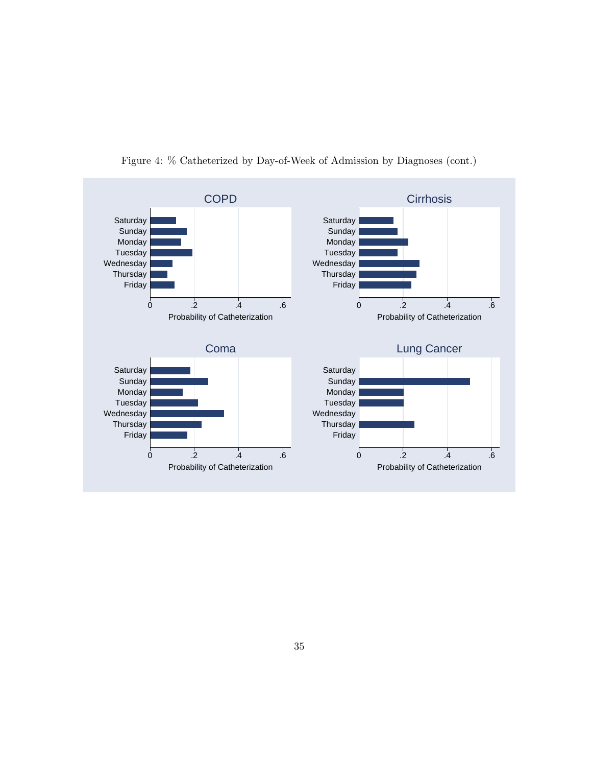

Figure 4: % Catheterized by Day-of-Week of Admission by Diagnoses (cont.)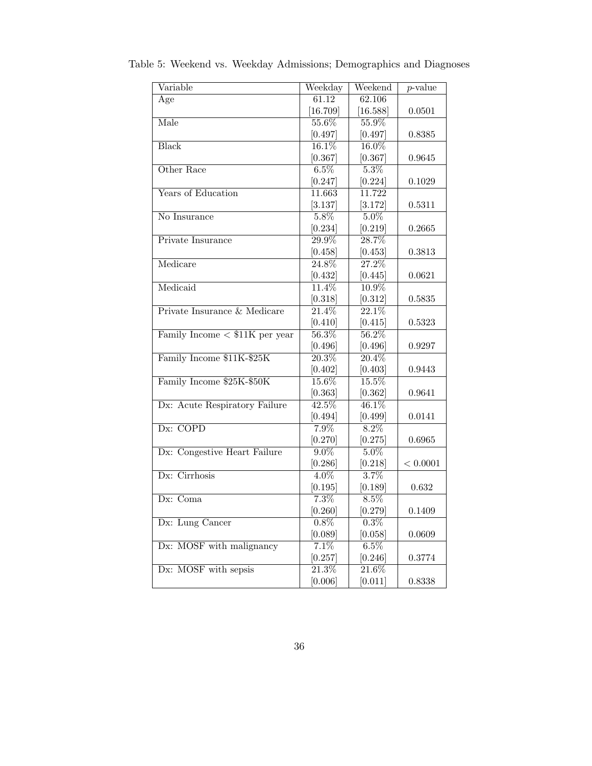| Variable                               | Weekday             | Weekend             | $\overline{p}$ -value |
|----------------------------------------|---------------------|---------------------|-----------------------|
| Age                                    | 61.12               | 62.106              |                       |
|                                        | [16.709]            | [16.588]            | 0.0501                |
| Male                                   | 55.6%               | 55.9%               |                       |
|                                        | [0.497]             | [0.497]             | 0.8385                |
| <b>Black</b>                           | 16.1%               | 16.0%               |                       |
|                                        | [0.367]             | [0.367]             | 0.9645                |
| Other Race                             | $6.5\%$             | 5.3%                |                       |
|                                        | [0.247]             | [0.224]             | 0.1029                |
| Years of Education                     | 11.663              | 11.722              |                       |
|                                        | [3.137]             | [3.172]             | 0.5311                |
| No Insurance                           | $5.8\%$             | $5.0\%$             |                       |
|                                        | [0.234]             | [0.219]             | 0.2665                |
| Private Insurance                      | $\overline{29.9\%}$ | 28.7%               |                       |
|                                        | [0.458]             | [0.453]             | 0.3813                |
| Medicare                               | 24.8%               | 27.2%               |                       |
|                                        | [0.432]             | [0.445]             | 0.0621                |
| Medicaid                               | $11.4\%$            | $10.9\%$            |                       |
|                                        | [0.318]             | [0.312]             | 0.5835                |
| Private Insurance & Medicare           | $\overline{21.4\%}$ | 22.1%               |                       |
|                                        | [0.410]             | [0.415]             | 0.5323                |
| Family Income $\langle$ \$11K per year | 56.3%               | $56.2\%$            |                       |
|                                        | [0.496]             | [0.496]             | 0.9297                |
| Family Income \$11K-\$25K              | $\overline{20.3\%}$ | 20.4%               |                       |
|                                        | [0.402]             | [0.403]             | 0.9443                |
| Family Income \$25K-\$50K              | 15.6%               | $15.5\%$            |                       |
|                                        | [0.363]             | [0.362]             | 0.9641                |
| Dx: Acute Respiratory Failure          | $42.5\%$            | 46.1%               |                       |
|                                        | [0.494]             | [0.499]             | 0.0141                |
| Dx: COPD                               | $7.9\%$             | $8.2\%$             |                       |
|                                        | [0.270]             | [0.275]             | 0.6965                |
| Dx: Congestive Heart Failure           | $9.0\%$             | $5.0\%$             |                       |
|                                        | [0.286]             | [0.218]             | < 0.0001              |
| $Dx$ : Cirrhosis                       | $4.0\%$             | 3.7%                |                       |
|                                        | [0.195]             | [0.189]             | 0.632                 |
| Dx: Coma                               | $7.3\%$             | $8.5\%$             |                       |
|                                        | [0.260]             | [0.279]             | 0.1409                |
| Dx: Lung Cancer                        | $0.8\%$             | $0.3\%$             |                       |
|                                        | [0.089]             | [0.058]             | 0.0609                |
| Dx: MOSF with malignancy               | 7.1%                | 6.5%                |                       |
|                                        | [0.257]             | [0.246]             | 0.3774                |
| Dx: MOSF with sepsis                   | $\overline{21.3\%}$ | $\overline{21.6\%}$ |                       |
|                                        | [0.006]             | [0.011]             | 0.8338                |

Table 5: Weekend vs. Weekday Admissions; Demographics and Diagnoses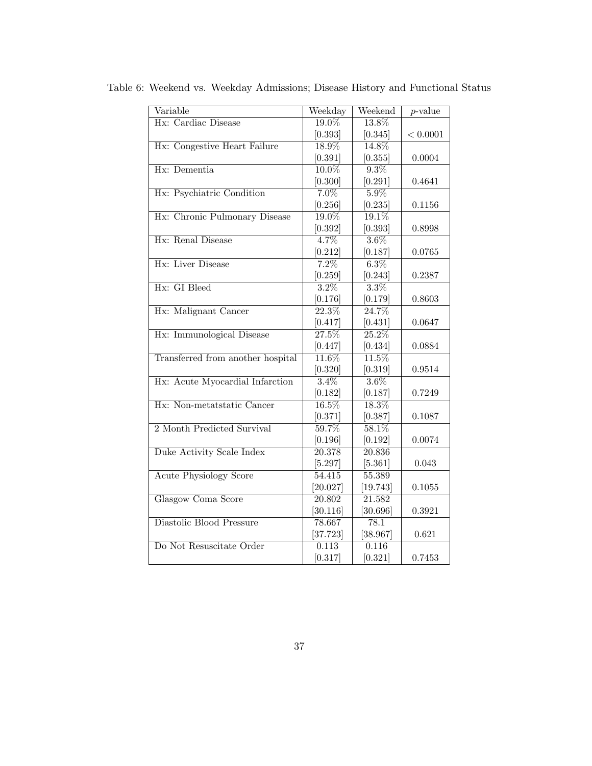| Variable                          | Weekday             | Weekend             | $p$ -value |
|-----------------------------------|---------------------|---------------------|------------|
| Hx: Cardiac Disease               | 19.0%               | 13.8%               |            |
|                                   | [0.393]             | [0.345]             | < 0.0001   |
| Hx: Congestive Heart Failure      | 18.9%               | 14.8%               |            |
|                                   | [0.391]             | [0.355]             | 0.0004     |
| Hx: Dementia                      | $10.0\%$            | $9.3\%$             |            |
|                                   | [0.300]             | [0.291]             | 0.4641     |
| Hx: Psychiatric Condition         | $7.0\%$             | $5.9\%$             |            |
|                                   | [0.256]             | [0.235]             | 0.1156     |
| Hx: Chronic Pulmonary Disease     | 19.0%               | $19.1\%$            |            |
|                                   | [0.392]             | [0.393]             | 0.8998     |
| Hx: Renal Disease                 | 4.7%                | $3.6\%$             |            |
|                                   | [0.212]             | [0.187]             | 0.0765     |
| Hx: Liver Disease                 | 7.2%                | $6.3\%$             |            |
|                                   | [0.259]             | [0.243]             | 0.2387     |
| Hx: GI Bleed                      | $3.2\%$             | $3.3\%$             |            |
|                                   | [0.176]             | [0.179]             | 0.8603     |
| Hx: Malignant Cancer              | 22.3%               | 24.7%               |            |
|                                   | [0.417]             | [0.431]             | 0.0647     |
| Hx: Immunological Disease         | 27.5%               | 25.2%               |            |
|                                   | [0.447]             | [0.434]             | 0.0884     |
| Transferred from another hospital | $11.\overline{6\%}$ | $11.\overline{5\%}$ |            |
|                                   | [0.320]             | [0.319]             | 0.9514     |
| Hx: Acute Myocardial Infarction   | $3.4\%$             | $3.6\%$             |            |
|                                   | [0.182]             | [0.187]             | 0.7249     |
| Hx: Non-metatstatic Cancer        | $16.5\%$            | 18.3%               |            |
|                                   | [0.371]             | [0.387]             | 0.1087     |
| 2 Month Predicted Survival        | 59.7%               | 58.1%               |            |
|                                   | [0.196]             | [0.192]             | 0.0074     |
| Duke Activity Scale Index         | $\overline{20.378}$ | 20.836              |            |
|                                   | [5.297]             | [5.361]             | 0.043      |
| <b>Acute Physiology Score</b>     | $54.\overline{415}$ | 55.389              |            |
|                                   | [20.027]            | [19.743]            | 0.1055     |
| <b>Glasgow Coma Score</b>         | 20.802              | 21.582              |            |
|                                   | [30.116]            | [30.696]            | 0.3921     |
| Diastolic Blood Pressure          | 78.667              | 78.1                |            |
|                                   | [37.723]            | [38.967]            | 0.621      |
| Do Not Resuscitate Order          | 0.113               | 0.116               |            |
|                                   | [0.317]             | [0.321]             | 0.7453     |

Table 6: Weekend vs. Weekday Admissions; Disease History and Functional Status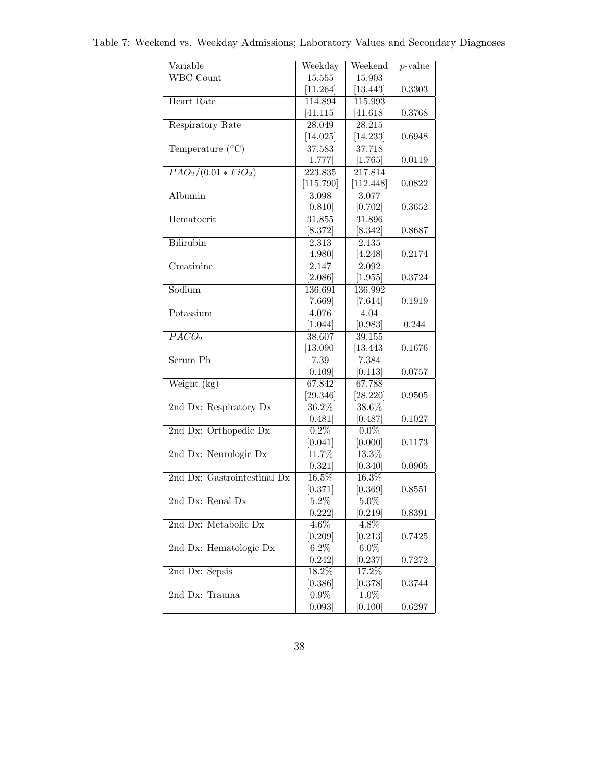| Variable                       | Weekday            | Weekend            | $\overline{p\text{-value}}$ |
|--------------------------------|--------------------|--------------------|-----------------------------|
| <b>WBC</b> Count               | 15.555             | 15.903             |                             |
|                                | [11.264]           | [13.443]           | 0.3303                      |
| Heart Rate                     | 114.894            | 115.993            |                             |
|                                | [41.115]           | [41.618]           | 0.3768                      |
| Respiratory Rate               | 28.049             | 28.215             |                             |
|                                | [14.025]           | [14.233]           | 0.6948                      |
| Temperature $(^oC)$            | 37.583             | 37.718             |                             |
|                                | [1.777]            | [1.765]            | 0.0119                      |
| $\frac{PAO_2}{(0.01 * FiO_2)}$ | 223.835            | 217.814            |                             |
|                                | [115.790]          | [112.448]          | 0.0822                      |
| Albumin                        | 3.098              | 3.077              |                             |
| Hematocrit                     | [0.810]<br>31.855  | [0.702]<br>31.896  | 0.3652                      |
|                                | [8.372]            | [8.342]            | 0.8687                      |
| <b>Bilirubin</b>               | 2.313              | 2.135              |                             |
|                                | [4.980]            | [4.248]            | 0.2174                      |
| Creatinine                     | 2.147              | 2.092              |                             |
|                                | [2.086]            | [1.955]            | 0.3724                      |
| Sodium                         | 136.691            | 136.992            |                             |
|                                | [7.669]            | [7.614]            | 0.1919                      |
| Potassium                      | 4.076              | $\overline{4.04}$  |                             |
|                                | [1.044]            | [0.983]            | 0.244                       |
| $\overline{PACO_2}$            | 38.607             | 39.155             |                             |
|                                | [13.090]           | [13.443]           | 0.1676                      |
| Serum Ph                       | 7.39               | 7.384              |                             |
|                                | [0.109]            | [0.113]            | 0.0757                      |
| Weight (kg)                    | 67.842             | 67.788             |                             |
|                                | [29.346]           | [28.220]           | 0.9505                      |
| 2nd Dx: Respiratory Dx         | $36.2\%$           | 38.6%              |                             |
|                                | [0.481]            | [0.487]            | 0.1027                      |
| 2nd Dx: Orthopedic Dx          | 0.2%               | $0.0\%$            |                             |
|                                | [0.041]            | [0.000]            | 0.1173                      |
| 2nd Dx: Neurologic Dx          | 11.7%              | 13.3%              |                             |
|                                | [0.321]            | [0.340]            | 0.0905                      |
| 2nd Dx: Gastrointestinal Dx    | 16.5%              | 16.3%              |                             |
|                                | [0.371]            | [0.369]            | 0.8551                      |
| 2nd Dx: Renal Dx               | $5.2\%$            | $5.0\%$            |                             |
| 2nd Dx: Metabolic Dx           | [0.222]<br>$4.6\%$ | [0.219]<br>$4.8\%$ | 0.8391                      |
|                                | [0.209]            | [0.213]            | 0.7425                      |
| 2nd Dx: Hematologic Dx         | $6.2\%$            | $6.0\%$            |                             |
|                                | [0.242]            | [0.237]            | 0.7272                      |
| 2nd Dx: Sepsis                 | 18.2%              | 17.2%              |                             |
|                                | [0.386]            | [0.378]            | 0.3744                      |
| 2nd Dx: Trauma                 | $0.9\%$            | $1.0\%$            |                             |
|                                | [0.093]            | [0.100]            | 0.6297                      |
|                                |                    |                    |                             |

Table 7: Weekend vs. Weekday Admissions; Laboratory Values and Secondary Diagnoses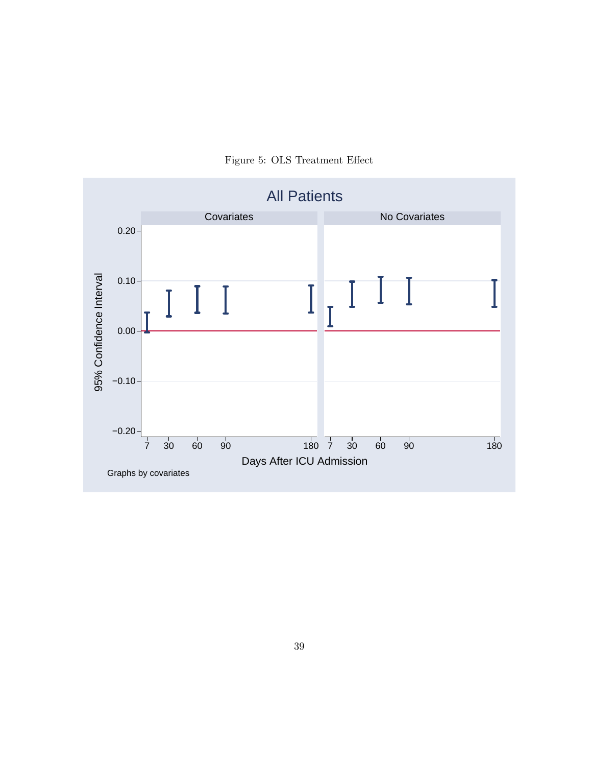

Figure 5: OLS Treatment Effect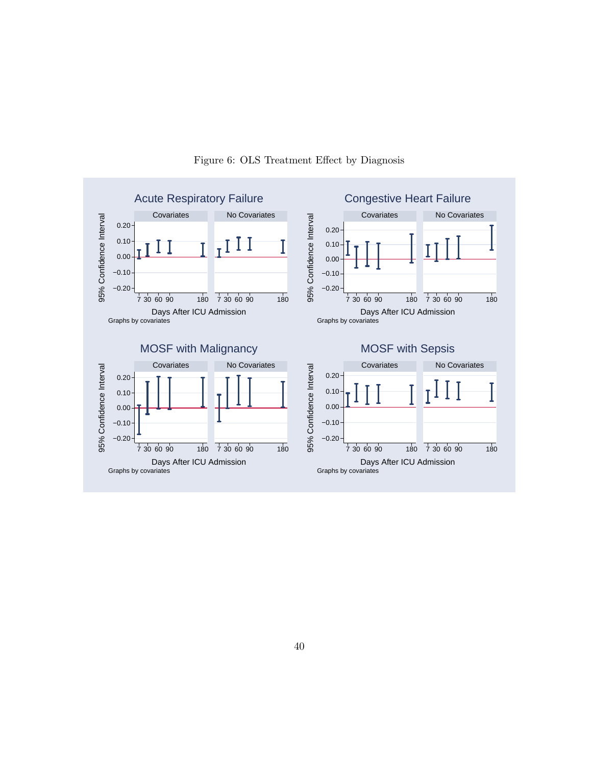

#### Figure 6: OLS Treatment Effect by Diagnosis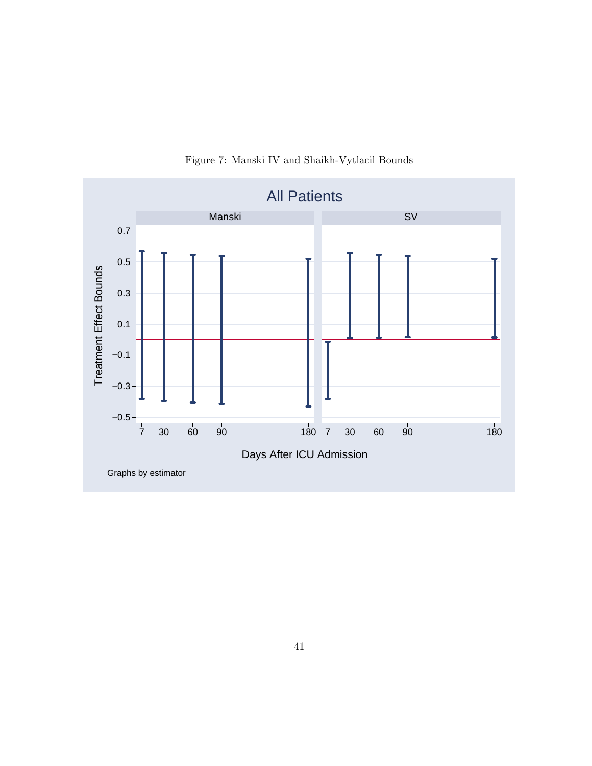

Figure 7: Manski IV and Shaikh-Vytlacil Bounds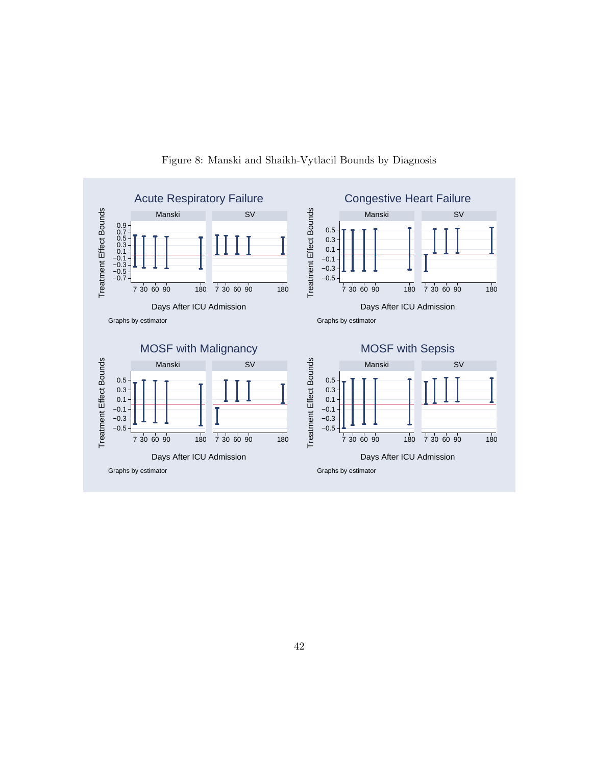

Figure 8: Manski and Shaikh-Vytlacil Bounds by Diagnosis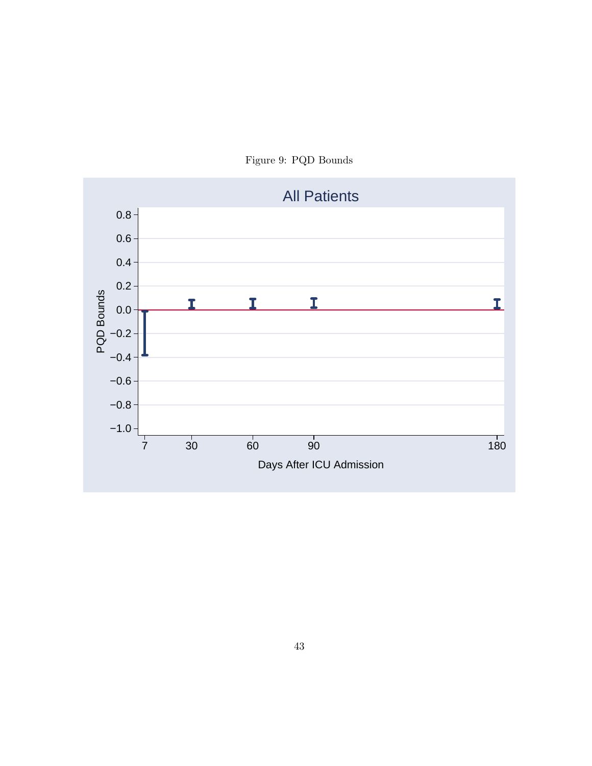

Figure 9: PQD Bounds